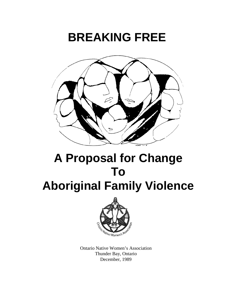# **BREAKING FREE**



# **A Proposal for Change To Aboriginal Family Violence**



Ontario Native Women's Association Thunder Bay, Ontario December, 1989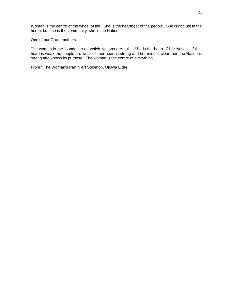Woman is the centre of the wheel of life. She is the heartbeat of the people. She is not just in the home, but she is the community, she is the Nation.

One of our Grandmothers.

The woman is the foundation on which Nations are built. She is the heart of her Nation. If that heart is weak the people are weak. If her heart is strong and her mind is clear then the Nation is strong and knows its purpose. The woman is the centre of everything.

From " The Woman's Part ", Art Solomon, Ojibwa Elder.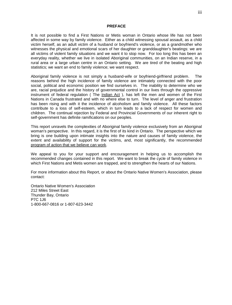#### **PREFACE**

It is not possible to find a First Nations or Metis woman in Ontario whose life has not been affected in some way by family violence. Either as a child witnessing spousal assault, as a child victim herself, as an adult victim of a husband or boyfriend's violence, or as a grandmother who witnesses the physical and emotional scars of her daughter or granddaughter's beatings: we are all victims of violent family situations and we want it to stop now. For too long this has been an everyday reality, whether we live in isolated Aboriginal communities, on an Indian reserve, in a rural area or a large urban centre in an Ontario setting. We are tired of the beating and high statistics; we want an end to family violence; we want respect.

Aboriginal family violence is not simply a husband-wife or boyfriend-girlfriend problem. The reasons behind the high incidence of family violence are intimately connected with the poor social, political and economic position we find ourselves in. The inability to determine who we are, racial prejudice and the history of governmental control in our lives through the oppressive instrument of federal regulation ( The Indian Act ), has left the men and women of the First Nations in Canada frustrated and with no where else to turn. The level of anger and frustration has been rising and with it the incidence of alcoholism and family violence. All these factors contribute to a loss of self-esteem, which in turn leads to a lack of respect for women and children. The continual rejection by Federal and Provincial Governments of our inherent right to self-government has definite ramifications on our peoples.

This report unravels the complexities of Aboriginal family violence exclusively from an Aboriginal woman's perspective. In this regard, it is the first of its kind in Ontario. The perspective which we bring is one building upon intimate insights into the nature and causes of family violence, the extent and availability of support for the victims, and, most significantly, the recommended program of action that we believe can work.

We appeal to you for your support and encouragement in helping us to accomplish the recommended changes contained in this report. We want to break the cycle of family violence in which First Nations and Metis women are trapped, and to strengthen the hearts of our Nations.

For more information about this Report, or about the Ontario Native Women's Association, please contact:

Ontario Native Women's Association 212 Miles Street East Thunder Bay, Ontario P7C 1J6 1-800-667-0816 or 1-807-623-3442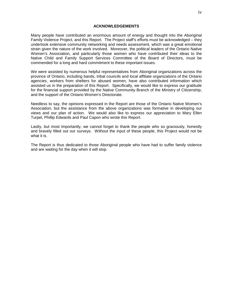#### **ACKNOWLEDGEMENTS**

Many people have contributed an enormous amount of energy and thought into the Aboriginal Family Violence Project, and this Report. The Project staff's efforts must be acknowledged – they undertook extensive community networking and needs assessment, which was a great emotional strain given the nature of the work involved. Moreover, the political leaders of the Ontario Native Women's Association, and particularly those women who have contributed their ideas to the Native Child and Family Support Services Committee of the Board of Directors, must be commended for a long and hard commitment to these important issues.

We were assisted by numerous helpful representatives from Aboriginal organizations across the province of Ontario, including bands, tribal councils and local affiliate organizations of the Ontario agencies, workers from shelters for abused women, have also contributed information which assisted us in the preparation of this Report. Specifically, we would like to express our gratitude for the financial support provided by the Native Community Branch of the Ministry of Citizenship, and the support of the Ontario Women's Directorate.

Needless to say, the opinions expressed in the Report are those of the Ontario Native Women's Association, but the assistance from the above organizations was formative in developing our views and our plan of action. We would also like to express our appreciation to Mary Ellen Turpel, Phillip Edwards and Paul Capon who wrote this Report.

Lastly, but most importantly, we cannot forget to thank the people who so graciously, honestly and bravely filled out our surveys. Without the input of these people, this Project would not be what it is.

The Report is thus dedicated to those Aboriginal people who have had to suffer family violence and are waiting for the day when it will stop.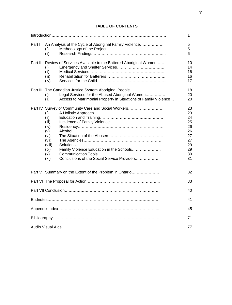# **TABLE OF CONTENTS**

|          |                                                                                                    |                                                                                                                                                                    | 1                                                                    |
|----------|----------------------------------------------------------------------------------------------------|--------------------------------------------------------------------------------------------------------------------------------------------------------------------|----------------------------------------------------------------------|
| Part I   | (i)<br>(ii)                                                                                        | An Analysis of the Cycle of Aboriginal Family Violence                                                                                                             | 5<br>5<br>6                                                          |
| Part II  | (i)<br>(ii)<br>(iii)<br>(iv)                                                                       | Review of Services Available to the Battered Aboriginal Women                                                                                                      | 10<br>14<br>16<br>16<br>17                                           |
| Part III | (i)<br>(ii)                                                                                        | The Canadian Justice System Aboriginal People<br>Legal Services for the Abused Aboriginal Women<br>Access to Matrimonial Property in Situations of Family Violence | 18<br>20<br>20                                                       |
|          | (i)<br>(ii)<br>(iii)<br>(iv)<br>(v)<br>(vi)<br>(vii)<br>(viii)<br>(ix)<br>(x)<br>(x <sub>i</sub> ) | Part IV Survey of Community Care and Social Workers<br>Family Violence Education in the Schools<br>Conclusions of the Social Service Providers                     | 23<br>23<br>24<br>25<br>26<br>26<br>27<br>27<br>29<br>29<br>30<br>31 |
|          |                                                                                                    | Part V Summary on the Extent of the Problem in Ontario                                                                                                             | 32                                                                   |
|          |                                                                                                    |                                                                                                                                                                    | 33                                                                   |
|          |                                                                                                    |                                                                                                                                                                    | 40                                                                   |
|          |                                                                                                    |                                                                                                                                                                    | 41                                                                   |
|          |                                                                                                    |                                                                                                                                                                    | 45                                                                   |
|          |                                                                                                    |                                                                                                                                                                    | 71                                                                   |
|          |                                                                                                    |                                                                                                                                                                    | 77                                                                   |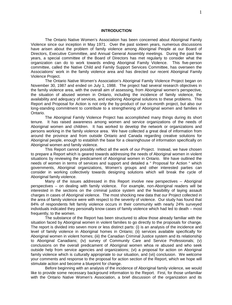#### **INTRODUCTION**

The Ontario Native Women's Association has been concerned about Aboriginal Family Violence since our inception in May 1971. Over the past sixteen years, numerous discussions have arisen about the problem of family violence among Aboriginal People at our Board of Directors, Executive Committee, and Annual General Assembly meetings. During the past few years, a special committee of the Board of Directors has met regularly to consider what the organization can do to work towards ending Aboriginal Family Violence. This five-person committee, called the Native Child and Family Support Services Committee, has overseen the Associations' work in the family violence area and has directed our recent Aboriginal Family Violence Project.

The Ontario Native Women's Association's Aboriginal Family Violence Project began on November 30, 1987 and ended on July 1, 1988. The project had several research objectives in the family violence area, with the overall aim of assessing, from Aboriginal women's perspective, the situation of abused women in Ontario, including the incidence of family violence, the availability and adequacy of services, and exploring Aboriginal solutions to these problems. This Report and Proposal for Action is not only the by-product of our six-month project, but also our long-standing commitment to contribute to a strengthening of Aboriginal women and families in Ontario.

The Aboriginal Family Violence Project has accomplished many things during its short tenure. It has raised awareness among women and service organizations of the needs of Aboriginal women and children. It has worked to develop the network or organizations and persons working in the family violence area. We have collected a great deal of information from around the province and from outside Ontario and Canada regarding creative solutions for Aboriginal people, enough to establish the base for a clearinghouse of information specifically on Aboriginal women and family violence.

This Report cannot possibly reflect all the work of our Project. Instead, we have chosen to prepare a Report which is geared towards addressing the needs of Aboriginal women in violent situations by reviewing the predicament of Aboriginal women in Ontario. We have outlined the needs of women in terms of services and support and detailed a " Proposal for Action " which governments, Aboriginal organizations, Women's groups and other interested parties can consider in working collectively towards designing solutions which will break the cycle of Aboriginal family violence.

Many of the issues addressed in this Report involve new perspectives – Aboriginal perspectives – on dealing with family violence. For example, non-Aboriginal readers will be interested in the sections on the criminal justice system and the feasibility of laying assault charges in cases of Aboriginal violence. The most shocking new data that our Project collected in the area of family violence were with respect to the severity of violence. Our study has found that 84% of respondents felt family violence occurs in their community with nearly 24% surveyed individuals indicated they personally know cases of family violence which had led to death – most frequently, to the women.

The substance of the Report has been structured to allow those already familiar with the situation faced by Aboriginal women in violent families to go directly to the proposals for change. The report is divided into seven more or less distinct parts: (i) is an analysis of the incidence and level of family violence in Aboriginal homes in Ontario; (ii) services available specifically for Aboriginal women in violent homes; (iii) the Canadian Criminal Justice system and its relationship to Aboriginal Canadians; (iv) survey of Community Care and Service Professionals; (v) conclusions on the overall predicament of Aboriginal women whoa re abused and who seek outside help from service agencies and organizations; (vi) a proposal for action on Aboriginal family violence which is culturally appropriate to our situation, and (vii) conclusion. We welcome your comments and response to the proposal for action section of the Report, which we hope will stimulate action and become a blueprint for change.

Before beginning with an analysis of the incidence of Aboriginal family violence, we would like to provide some necessary background information to the Report. First, for those unfamiliar with the Ontario Native Women's Association, a brief discussion of the organization and its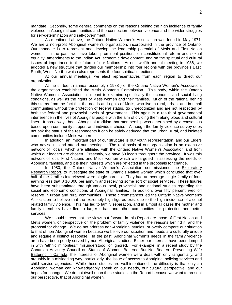mandate. Secondly, some general comments on the reasons behind the high incidence of family violence in Aboriginal communities and the connection between violence and the wider struggles for self-determination and self-government.

As mentioned above, the Ontario Native Women's Association was found in May 1971. We are a non-profit Aboriginal women's organization, incorporated in the province of Ontario. Our mandate is to represent and develop the leadership potential of Metis and First Nation women. In the past, we have taken prominent positions on constitutional reform and sexual equality, amendments to the Indian Act, economic development, and on the spiritual and cultural issues of importance to the future of our Nations. At our twelfth annual meeting in 1986, we adopted a new structure that divides our membership into four regions with the province ( East, South, West, North ) which also represents the four spiritual directions.

At our annual meetings, we elect representatives from each region to direct our organization.

At the thirteenth annual assembly ( 1988 ) of the Ontario Native Women's Association, the organization established the Metis Women's Commission. This body, within the Ontario Native Women's Association, is meant to examine specifically the economic and social living conditions, as well as the rights of Metis women and their families. Much of the rational behind this stems from the fact that the needs and rights of Metis, who live in rural, urban, and in small communities without the protection of federal status, go unrecognized and are not respected by both the federal and provincial levels of government. This again is a result of governmental interference in the lives of Aboriginal people with the aim of dividing them along blood and cultural lines. It has always been Aboriginal tradition that membership was determined by a consensus based upon community support and individual choice. Although the family violence survey does not ask the status of the respondents it can be safely deduced that the urban, rural, and isolated communities include Metis women.

In addition, an important part of our structure is our youth representation, and our Elders who advise us and attend our meetings. The real basis of our organization is an extensive network of 'locals' which are affiliated with the Ontario Native Women's Association and from which our leaders are chosen. Presently, we have 53 locals throughout the province. It was this network of local First Nations and Metis women which we targeted in assessing the needs of Aboriginal families, and it is their interests which are reflected in the proposals for change.

In 1980, the Ontario Native Women's Association commissioned the Exploratory Research Report, to investigate the state of Ontario's Native women which concluded that over half of the families interviewed were single parents. They had an average single family of four, earning less that \$ 10,000 per annum and receiving some sort of social services. These figures have been substantiated through various local, provincial, and national studies regarding the social and economic conditions of Aboriginal families. In addition, over fifty percent lived off reserve in urban and rural communities. These circumstances led the Ontario Native Women's Association to believe that the extremely high figures exist due to the high incidence of alcohol related family violence. This has led to family separation, and in almost all cases the mother and family members have fled to larger urban and other communities for protection and better services.

We should stress that the views put forward in this Report are those of First Nation and Metis women, or perspective on the problem of family violence, the reasons behind it, and the proposal for change. We do not address non-Aboriginal studies, or overly compare our situation to that of non-Aboriginal women because we believe our situation and needs are culturally unique and require a distinct response. In the past, Aboriginal women's needs in the family violence area have been poorly served by non-Aboriginal studies. Either our interests have been lumped in with "ethnic minorities," misunderstood, or ignored. For example, in a recent study by the Canadian Advisory Council on Status of Women, Battered But Not Beaten…Preventing Wife Battering in Canada, the interests of Aboriginal women were dealt with only tangentially, and arguably in a misleading way, particularly, the issue of access to Aboriginal policing services and child service agencies. While these studies are well-intentioned, the difficulty is that only an Aboriginal woman can knowledgeably speak on our needs, our cultural perspective, and our hopes for change. We do not dwell upon these studies in the Report because we want to present our perspective, that of Aboriginal women.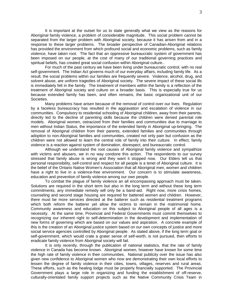It is important at the outset for us to state generally what we view as the reasons for Aboriginal family violence, a problem of considerable magnitude. This social problem cannot be separated from the larger problem with Aboriginal society, because it has arisen from and in a response to these larger problems. The broader perspective of Canadian-Aboriginal relations has provided the environment from which profound social and economic problems, such as family violence, have taken root. The fact that an oppressive bureaucratic system of government has been imposed on our people, at the cost of many of our traditional governing practices and spiritual beliefs, has created great social confusion within Aboriginal culture..

For much of the past century we have been living under bureaucratic control, with no real self-government. The Indian Act governs much of our everyday affairs, including family life. As a result, the social problems within our families are frequently severe. Violence, alcohol, drug, and solvent abuse, are uniform tragedies of Aboriginal society. The severe impact of these social ills is immediately felt in the family. The treatment of members within the family is a reflection of the treatment of Aboriginal society and culture on a broader basis. This is especially true for us because extended family has been, and often remains, the basic organizational unit of our Societies.

Many problems have arisen because of the removal of control over our lives. Regulation by a faceless bureaucracy has resulted in the aggravation and escalation of violence in our communities. Compulsory to residential schooling of Aboriginal children, away from their parents, directly led to the decline of parenting skills because the children were denied parental role models. Aboriginal women, ostracized from their families and communities due to marriage to men without Indian Status, the importance of the extended family in Aboriginal up-bringing. The removal of Aboriginal children from their parents, extended families and communities through adoption to non-Aboriginal families and communities, created not only pain but confusion as the children were not allowed to learn the central role of family into their culture. In effect, family violence is a reaction against system of domination, disrespect, and bureaucratic control.

Although we understand the root causes of Aboriginal family violence and sympathize with victims and abusers, we in no way condone this action. The respondents to our survey stressed that family abuse is wrong and they want it stopped now. Our Elders tell us that personal responsibility, self-control and respect for all people is a tenet of Aboriginal culture. It is the belief of the Ontario Native Women's Association that all Aboriginal men, women and children have a right to live in a violence-free environment. Our concern is to stimulate awareness, education and prevention of family violence among our own people.

To combat the plague of family violence an all encompassing approach must be taken. Solutions are required in the short term but also in the long term and without these long term commitments, any immediate remedy will only be a band-aid. Right now, more crisis homes, counseling and second stage housing are required for battered women and children. However, there must be more services directed at the batterer such as residential treatment programs which both reform the batterer yet allow the victims to remain in the matrimonial home. Community awareness and education on this subject to Aboriginal people of all ages is a necessity. At the same time, Provincial and Federal Governments must commit themselves to recognizing our inherent right to self-determination in the development and implementation of new forms of governing which are based on our values and aspiration. A concrete example of this is the creation of an Aboriginal justice system based on our own concepts of justice and more social service agencies controlled by Aboriginal people. As stated above, if the long term goal or self-government, which would crate a grater sense of self-worth, is not pursued, then efforts to eradicate family violence from Aboriginal society will fail.

It is only recently, through the publication of national statistics, that the rate of family violence in Canada has become known. Aboriginal women, however have known for some time the high rate of family violence in their communities. National publicity over the issue has also given new confidence to Aboriginal women who now are demonstrating their own local efforts to lessen the degree of family violence in their cities, towns, villages, reserves and rural areas. These efforts, such as the healing lodge must be properly financially supported. The Provincial Government plays a large role in organizing and funding the establishment of off-reserve, culturally-orientated family support projects such as the Native Community Crisis Team in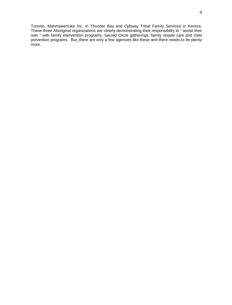Toronto, Mahmawencike Inc. in Thunder Bay and Ojibway Tribal Family Services in Kenora. These three Aboriginal organizations are clearly demonstrating their responsibility to " assist their own " with family intervention programs, Sacred Circle gatherings, family respite care and child prevention programs. But, there are only a few agencies like these and there needs to be plenty more.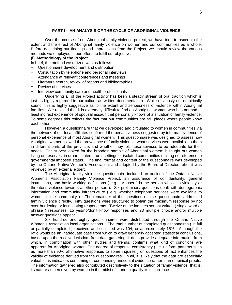# **PART I – AN ANALYSIS OF THE CYCLE OF ABORIGINAL VIOLENCE**

Over the course of our Aboriginal family violence project, we have tried to ascertain the extent and the effect of Aboriginal family violence on women and our communities as a whole. Before describing our findings and impressions from the Project, we should review the various methods we employed in our efforts to fulfill our objectives.

#### **(i) Methodology of the Project**

In brief, the method we utilized was as follows:

- Questionnaire development and distribution
- Consultation by telephone and personal interviews
- Attendance at relevant conferences and meetings
- Literature search, review of reports and bibliographies
- Review of services
- Interview community care and health professionals

Underlying all of the Project activity has been a steady stream of oral tradition which is just as highly regarded in our culture as written documentation. While obviously not empirically sound, this is highly suggestive as to the extent and seriousness of violence within Aboriginal families. We realized that it is extremely difficult to find an Aboriginal woman who has not had at least indirect experience of spousal assault that personally knows of a situation of family violence. To some degrees this reflects the fact that our communities are still places where people know each other.

However, a questionnaire that we developed and circulated to women in communities via the network of our local affiliates confirmed the pervasiveness suggested by informal evidence of personal experience of most Aboriginal women. This questionnaire was designed to assess how Aboriginal women viewed the prevalence of family violence, what services were available to them in different parts of the province, and whether they felt these services to be adequate for their needs. The survey looked for the broadest sample of Aboriginal women; it sought out women living on reserves, in urban centers, rural settings or isolated communities making no reference to governmental imposed status. The final format and content of the questionnaire was developed by the Ontario Native Women's Association, and adopted by the Board of Directors after it was reviewed by an external expert.

The Aboriginal family violence questionnaire included an outline of the Ontario Native Women's Association Family Violence Project, an assurance of confidentiality, general instructions, and basic working definitions ( e.g. " Abuser " is the person who acts violently or threatens violence towards another person ). Six preliminary questions dealt with demographic information and community infrastructure ( e.g. whether telephone services were available to women in the community ). The remainder of the questions on the questionnaire addressed family violence directly. Fifty questions were structured to obtain the maximum response by not over-burdening or intimidating respondents. Twelve of the inquires sought written ( single word or phrase ) responses, 15 yes/no/don't know responses and 23 multiple choice and/or multiple answer questions appear.

Six hundred and eighty questionnaires were distributed through the Ontario Native Women's Association local organizations. The total number of completed questionnaires ( in full or partially completed ) received and collected was 104, or approximately 15%. Although the ratio would be an inadequate base from which to draw generally accepted statistical conclusions, based upon the received wisdom from data gathering, it does provide adequate information from which, in combination with other studies and trends, confirms what kind of conditions are apparent for Aboriginal women. The degree of response consistency ( i.e. uniform patterns such as more than 90% affirmative responses to some inquires ) on questions of fact enhances the validity of evidence derived from the questionnaires. In all, it is likely that the data are especially valuable as indicators confirming or confounding anecdotal evidence rather than empirical proofs. The information gathered also contributed descriptively to the situation of family violence, that is, its nature as perceived by women in the midst of it and to qualify its occurrence.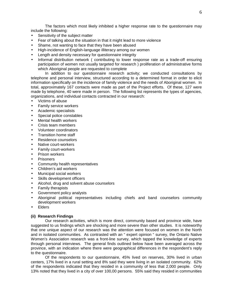The factors which most likely inhibited a higher response rate to the questionnaire may include the following:

- Sensitivity of the subject matter
- Fear of talking about the situation in that it might lead to more violence
- Shame, not wanting to face that they have been abused
- High-incidence of English-language illiteracy among our women
- Length and density necessary for questionnaire integrity
- Informal distribution network ( contributing to lower response rate as a trade-off ensuring participation of women not usually targeted for research ) proliferation of administrative forms which Aboriginal people are requested to complete

In addition to our questionnaire research activity; we conducted consultations by telephone and personal interview, structured according to a determined format in order to elicit information specifically on the incidence of family violence and the needs of Aboriginal women. In total, approximately 167 contacts were made as part of the Project efforts. Of these, 127 were made by telephone, 40 were made in person. The following list represents the types of agencies, organizations, and individual contacts contracted in our research:

- Victims of abuse
- Family service workers
- Academic specialists
- Special police constables
- Mental health workers
- Crisis team members
- Volunteer coordinators
- Transition home staff
- Residence counselors
- Native court-workers
- Family court-workers
- Prison workers
- **Prisoners**
- Community health representatives
- Children's aid workers
- Municipal social workers
- Skills development officers
- Alcohol, drug and solvent abuse counselors
- Family therapists
- Government policy analysts
- Aboriginal political representatives including chiefs and band counselors community development workers
- Elders

# **(ii) Research Findings**

Our research activities, which is more direct, community based and province wide, have suggested to us findings which are shocking and more severe than other studies. It is noteworthy that one unique aspect of our research was the attention were focused on women in the North and in isolated communities. As contrasted with an " expert opinion " survey, the Ontario Native Women's Association research was a front-line survey, which tapped the knowledge of experts through personal interviews. The general finds outlined below have been averaged across the province, with an indication where there were geographical differences in the respondent's reply to the questionnaire.

Of the respondents to our questionnaire, 45% lived on reserves, 30% lived in urban centers, 17% lived in a rural setting and 8% said they were living in an isolated community. 62% of the respondents indicated that they resided in a community of less that 2,000 people. Only 13% noted that they lived in a city of over 100,00 persons. 55% said they resided in communities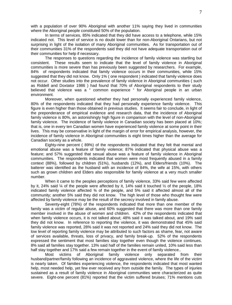with a population of over 90% Aboriginal with another 11% saying they lived in communities where the Aboriginal people constituted 50% of the population.

In terms of services, 85% indicated that they did have access to a telephone, while 15% indicated not. This level of service is no doubt lower than for non-Aboriginal Ontarians, but not surprising in light of the isolation of many Aboriginal communities. As for transportation out of their communities 31% of the respondents said they did not have adequate transportation out of their communities for help if necessary.

The responses to questions regarding the incidence of family violence was startling but consistent. These results seem to indicate that the level of family violence in Aboriginal communities is more severe than has previously been suggested by researchers. For example, 84% of respondents indicated that family violence occurs in their communities, while 15% suggested that they did not know. Only 1% ( one respondent ) indicated that family violence does not occur. Other studies into the prevalence of family violence in Aboriginal communities ( such as Riddell and Doxtator 1986 ) had found that 70% of Aboriginal respondents to their study believed that violence was a " common experience " for Aboriginal people in an urban environment.

Moreover, when questioned whether they had personally experienced family violence, 80% of the respondents indicated that they had personally experience family violence. This figure is even higher than those obtained in previous studies. It seems fair to conclude, in light of the preponderance of empirical evidence and research data, that the incidence of Aboriginal family violence is 80%, an astonishingly high figure in comparison with the level of non-Aboriginal family violence. The incidence of family violence in Canadian society has been placed at 10%; that is, one in every ten Canadian women have experienced family violence at some point in their lives. This may be conservative in light of the margin of error for empirical analysis, however, the incidence of family violence in Aboriginal communities is eight times higher than the average for Canadian society as a whole.

Eighty-nine percent ( 89%) of the respondents indicated that they felt that mental and emotional abuse was a feature of family violence; 87% indicated that physical abuse was a feature; and 57% suggested that sexual abuse was a feature of family violence in Aboriginal communities. The respondents indicated that women were most frequently abused in a family context (88%), followed by children (51%), husbands (12%), and Elders/friends (10%). The batterer was identified as the husband with an incidence of 84%, the wife at 15%, with others such as grown children and Elders also responsible for family violence at a very much smaller number.

When it came to the peoples perceptions of family violence, 33% said few were affected by it, 24% said  $\frac{1}{4}$  of the people were affected by it, 14% said it touched  $\frac{1}{2}$  of the people, 18% indicated family violence affected  $\frac{3}{4}$  of the people, and 5% said it affected almost all of the community; another 5% said they did not know. The high level of those who thought few were affected by family violence may be the result of the secrecy involved in family abuse.

Seventy-eight (78%) of the respondents indicated that more than one member of the family was a victim of regular abuse, and 60% suggested that there was more than one family member involved in the abuse of women and children. 42% of the respondents indicated that when family violence occurs, it is not talked about; 48% said it was talked about, and 19% said they did not know. In reference to reporting the violence, it was demonstrated that 45% said family violence was reported, 28% said it was not reported and 24% said they did not know. The low level of reporting family violence may be attributed to such factors as shame, fear, not aware of services available, threats, loss of privacy, and family break-up. 52% of the respondents expressed the sentiment that most families stay together even though the violence continues. 8% said all families stay together. 13% said half of the families remain united, 10% said less than half stay together and 17% said a few remain together in the event of family violence..

Most victims of Aboriginal family violence only separated from their husband/partner/family following an incidence of aggravated violence, where the life of the victim is nearly taken. Of families experiencing violence, the respondents indicated that most wanted help, most needed help, yet few ever received any from outside the family. The types of injuries sustained as a result of family violence in Aboriginal communities were characterized as quite severe. Eight-one percent (81%) reported that the victim suffered bruises; 71% mentions cuts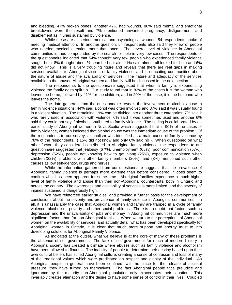and bleeding, 47% broken bones, another 47% had wounds, 80% said mental and emotional breakdowns were the result and 7% mentioned unwanted pregnancy, disfigurement, and disablement as injuries sustained by violence.

While these are all serious medical and psychological wounds, 54 respondents spoke of needing medical attention. In another question, 54 respondents also said they knew of people who needed medical attention more than once. The severe level of violence in Aboriginal communities is thus compounded by the search for help in very few cases. The respondents of the questionnaire indicated that 54% thought very few people who experienced family violence sought help, 8% thought about ¼ searched out aid, 11% said almost all looked for help and 6% did not know. This is a very troubling figure and reveals that there are real gaps in making services available to Aboriginal victims of family violence, and in educating communities about the nature of abuse and the availability of services. The nature and adequacy of the services available to the abused Aboriginal women and family, will be discussed in the next section.

The respondents to the questionnaire suggested that when a family is experiencing violence the family does split up. Our study found that in 82% of the cases it is the woman who leaves the home, followed by 41% for the children, and in 20% of the case, it is the husband who leaves the home.

The date gathered from the questionnaire reveals the involvement of alcohol abuse in family violence situations; 44% said alcohol was often involved and 37% said it was usually found in a violent situation. The remaining 19% can be divided into another three categories; 7% said it was rarely used in association with violence, 6% said it was sometimes used and another 6% said they could not say if alcohol contributed to family violence. The finding is collaborated by an earlier study of Aboriginal women in Nova Scotia which suggested that in 90% of the cases of family violence, women indicated that alcohol abuse was the immediate cause of the problem. Of the respondents to our survey, alcoholism was identified as a main cause of family violence by 78% of the respondents. ( 15% did not know and only 6% said no ). When questioned on what other factors they considered contributed to Aboriginal family violence, the respondents to our questionnaire suggested that jealousy (67%), unemployment (65%), poor communication (57%), depression (52%), people not knowing how to get along (25%), exposure to violence when children (22%), problems with other family members (20%), and (8%) mentioned such other causes as low self-identity, drugs and nerves.

While the information gathered from our questionnaire suggests that the prevalence of Aboriginal family violence is perhaps more extreme than before considered, it does seem to confirm what has been apparent for some time. Aboriginal families experience a much higher level of family violence and abuse than their non-Aboriginal counterparts, both in Ontario and across the country. The awareness and availability of services is more limited, and the severity of injuries sustained is dangerously high.

We have reinforced earlier studies, and provided a further basis for the development of conclusions about the severity and prevalence of family violence in Aboriginal communities. In all, it is unassailably the case that Aboriginal women and family are trapped in a cycle of family violence, alcoholism, poverty and other social problems. There is no doubt that factors such as depression and the unavailability of jobs and money in Aboriginal communities are much more significant factors than for non-Aboriginal families. When we turn to the perceptions of Aboriginal women on the availability of services, and actually detail what has been developed specifically for Aboriginal women in Ontario, it is clear that much more support and energy must to into developing solutions for Aboriginal Family Violence.

As indicated at the outset, what we believe is at the core of many of these problems is the absence of self-government. The lack of self-government for much of modern history in Aboriginal society has created a climate where abuses such as family violence and alcoholism have been allowed to flourish. The inability of people to determine their destiny based upon their own cultural beliefs has stifled Aboriginal culture, creating a sense of confusion and loss of many of the traditional values which were predicated on respect and dignity of the individual. As Aboriginal people in general have been confined, with no place for the release of societal pressure, they have turned on themselves. The fact Aboriginal people face prejudice and ignorance by the majority non-Aboriginal population only exacerbates their situation. This invariably creates alienation and the desire to have some sense of control in their lives. Coupled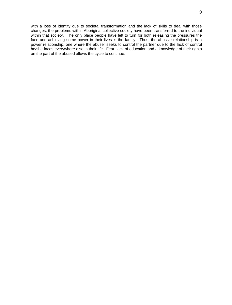with a loss of identity due to societal transformation and the lack of skills to deal with those changes, the problems within Aboriginal collective society have been transferred to the individual within that society. The only place people have left to turn for both releasing the pressures the face and achieving some power in their lives is the family. Thus, the abusive relationship is a power relationship, one where the abuser seeks to control the partner due to the lack of control he/she faces everywhere else in their life. Fear, lack of education and a knowledge of their rights on the part of the abused allows the cycle to continue.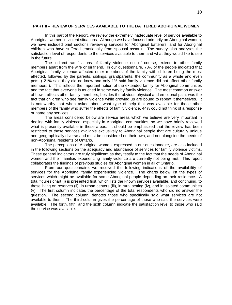#### **PART II – REVIEW OF SERVICES AVAILABLE TO THE BATTERED ABORIGINAL WOMEN**

In this part of the Report, we review the extremely inadequate level of service available to Aboriginal women in violent situations. Although we have focused primarily on Aboriginal women, we have included brief sections reviewing services for Aboriginal batterers, and for Aboriginal children who have suffered emotionally from spousal assault. The survey also analyses the satisfaction level of respondents to the services available to them and what they would like to see in the future.

The indirect ramifications of family violence do, of course, extend to other family members apart from the wife or girlfriend. In our questionnaire, 78% of the people indicated that Aboriginal family violence affected other members of the family with children being the most affected, followed by the parents, siblings, grandparents, the community as a whole and even pets. ( 21% said they did no know and only 1% said family violence did not affect other family members ). This reflects the important notion of the extended family for Aboriginal communities and the fact that everyone is touched in some way by family violence. The most common answer of how it affects other family members, besides the obvious physical and emotional pain, was the fact that children who see family violence while growing up are bound to repeat it themselves. It is noteworthy that when asked about what type of help that was available for these other members of the family who suffer the effects of family violence, 44% could not think of a response or name any services.

The areas considered below are service areas which we believe are very important in dealing with family violence, especially in Aboriginal communities, so we have briefly reviewed what is presently available in these areas. It should be emphasized that the review has been restricted to those services available exclusively to Aboriginal people that are culturally unique and geographically diverse and must be considered on their own, and not alongside the needs of non-Aboriginal residents of Ontario.

The perceptions of Aboriginal women, expressed in our questionnaire, are also included in the following sections on the adequacy and abundance of services for family violence victims. These general indicators are truly significant as they testify to the fact that the needs of Aboriginal women and their families experiencing family violence are currently not being met. This report collaborates the findings of previous studies for Aboriginal women in all of Ontario.

From our questionnaire, we received the following indications of the availability of services for the Aboriginal family experiencing violence. The charts below list the types of services which might be available for some Aboriginal people depending on their residence. A total figures chart (i) is presented first, which lists the known services available, and continuing, to those living on reserves (ii), in urban centers (iii), in rural setting (iv), and in isolated communities (v). The first column indicates the percentage of the total respondents who did no answer the question. The second column, denotes those who specifically said what services are not available to them. The third column gives the percentage of those who said the services were available. The forth, fifth, and the sixth column indicate the satisfaction level to those who said the service was available.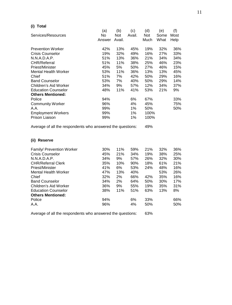# **(i) Total**

|                                                            | (a)    | (b)    | (c)    | (d)  | (e)  | (f)  |
|------------------------------------------------------------|--------|--------|--------|------|------|------|
| Services/Resources                                         | No     | Not    | Avail. | Not  | Some | Most |
|                                                            | Answer | Avail. |        | Much | What | Help |
| <b>Prevention Worker</b>                                   | 42%    | 13%    | 45%    | 19%  | 32%  | 36%  |
| <b>Crisis Counselor</b>                                    | 19%    | 32%    | 49%    | 16%  | 27%  | 33%  |
| N.N.A.D.A.P.                                               | 51%    | 13%    | 36%    | 21%  | 34%  | 34%  |
| <b>CHR/Referral</b>                                        | 51%    | 11%    | 38%    | 25%  | 46%  | 23%  |
| Priest/Minister                                            | 45%    | 5%     | 50%    | 27%  | 46%  | 15%  |
| <b>Mental Health Worker</b>                                | 53%    | 11%    | 36%    | 13%  | 13%  | 45%  |
| Chief                                                      | 51%    | 7%     | 42%    | 50%  | 29%  | 16%  |
| <b>Band Counselor</b>                                      | 53%    | 7%     | 40%    | 50%  | 29%  | 14%  |
| Children's Aid Worker                                      | 34%    | 9%     | 57%    | 12%  | 34%  | 37%  |
| <b>Education Counselor</b>                                 | 48%    | 11%    | 41%    | 53%  | 21%  | 9%   |
| <b>Others Mentioned:</b>                                   |        |        |        |      |      |      |
| Police                                                     | 94%    |        | 6%     | 67%  |      | 33%  |
| <b>Community Worker</b>                                    | 96%    |        | 4%     | 45%  |      | 75%  |
| A.A.                                                       | 99%    |        | 1%     | 50%  |      | 50%  |
| <b>Employment Workers</b>                                  | 99%    |        | 1%     | 100% |      |      |
| Prison Liaison                                             | 99%    |        | 1%     | 100% |      |      |
| Average of all the respondents who answered the questions: |        |        |        | 49%  |      |      |
| (ii)<br><b>Reserve</b>                                     |        |        |        |      |      |      |
| <b>Family/ Prevention Worker</b>                           | 30%    | 11%    | 59%    | 21%  | 32%  | 36%  |

| Family/ Prevention Worker   | 30% | 11% | 59% | 21% | 32% | 36% |
|-----------------------------|-----|-----|-----|-----|-----|-----|
| <b>Crisis Counselor</b>     | 45% | 21% | 34% | 19% | 38% | 25% |
| N.N.A.D.A.P.                | 34% | 9%  | 57% | 26% | 32% | 30% |
| <b>CHR/Referral Clerk</b>   | 35% | 10% | 90% | 18% | 61% | 21% |
| Priest/Minister             | 41% | 6%  | 53% | 24% | 48% | 16% |
| <b>Mental Health Worker</b> | 47% | 13% | 40% |     | 53% | 26% |
| Chief                       | 32% | 2%  | 66% | 42% | 35% | 16% |
| <b>Band Counselor</b>       | 34% | 2%  | 64% | 50% | 30% | 17% |
| Children's Aid Worker       | 36% | 9%  | 55% | 19% | 35% | 31% |
| <b>Education Counselor</b>  | 38% | 11% | 51% | 63% | 13% | 8%  |
| <b>Others Mentioned:</b>    |     |     |     |     |     |     |
| Police                      | 94% |     | 6%  | 33% |     | 66% |
| A.A.                        | 96% |     | 4%  | 50% |     | 50% |
|                             |     |     |     |     |     |     |

Average of all the respondents who answered the questions: 63%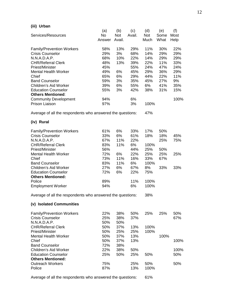# **(iii) Urban**

|                                                            | (a)    | (b)    | (c)    | (d)  | (e)  | (f)  |
|------------------------------------------------------------|--------|--------|--------|------|------|------|
| Services/Resources                                         | No     | Not    | Avail. | Not  | Some | Most |
|                                                            | Answer | Avail. |        | Much | What | Help |
| <b>Family/Prevention Workers</b>                           | 58%    | 13%    | 29%    | 11%  | 30%  | 22%  |
| <b>Crisis Counselor</b>                                    | 29%    | 3%     | 68%    | 14%  | 29%  | 29%  |
| N.N.A.D.A.P.                                               | 68%    | 10%    | 22%    | 14%  | 29%  | 29%  |
| <b>CHR/Referral Clerk</b>                                  | 48%    | 13%    | 39%    | 22%  | 11%  | 33%  |
| Priest/Minister                                            | 45%    |        | 55%    | 24%  | 47%  | 24%  |
| <b>Mental Health Worker</b>                                | 49%    | 6%     | 45%    | 29%  | 36%  | 29%  |
| Chief                                                      | 65%    | 6%     | 29%    | 44%  | 22%  | 11%  |
| <b>Band Counselor</b>                                      | 59%    | 3%     | 35%    | 45%  | 27%  | 9%   |
| Children's Aid Worker                                      | 39%    | 6%     | 55%    | 6%   | 41%  | 35%  |
| <b>Education Counselor</b>                                 | 55%    | 3%     | 42%    | 38%  | 31%  | 15%  |
| <b>Others Mentioned:</b>                                   |        |        |        |      |      |      |
| <b>Community Development</b>                               | 94%    |        | 6%     |      |      | 100% |
| Prison Liaison                                             | 97%    |        | 3%     | 100% |      |      |
| Average of all the respondents who answered the questions: |        |        |        | 47%  |      |      |
| (iv) Rural                                                 |        |        |        |      |      |      |
|                                                            |        |        |        |      |      |      |
| <b>Family/Prevention Workers</b>                           | 61%    | 6%     | 33%    | 17%  | 50%  |      |
| <b>Crisis Counselor</b>                                    | 33%    | 6%     | 61%    | 18%  | 18%  | 45%  |
| N.N.A.D.A.P.                                               | 67%    | 11%    | 22%    |      | 25%  | 75%  |
| <b>CHR/Referral Clerk</b>                                  | 83%    | 11%    | 6%     | 100% |      |      |
| Priest/Minister                                            | 56%    |        | 44%    | 25%  | 50%  |      |
| <b>Mental Health Worker</b>                                | 72%    | 6%     | 22%    | 25%  | 25%  | 25%  |
| Chief                                                      | 73%    | 11%    | 16%    | 33%  | 67%  |      |
| <b>Band Counselor</b>                                      | 83%    | 11%    | 6%     | 100% |      |      |
| Children's Aid Worker                                      | 27%    | 6%     | 67%    | 8%   | 33%  | 33%  |
| <b>Education Counselor</b>                                 | 72%    | 6%     | 22%    | 75%  |      |      |
| <b>Others Mentioned:</b>                                   |        |        |        |      |      |      |
| Police                                                     | 89%    |        | 11%    | 100% |      |      |
| <b>Employment Worker</b>                                   | 94%    |        | 6%     | 100% |      |      |
| Average of all the respondents who answered the questions: |        |        |        | 38%  |      |      |
| (v) Isolated Communities                                   |        |        |        |      |      |      |
| <b>Family/Prevention Workers</b>                           | 22%    | 38%    | 50%    | 25%  | 25%  | 50%  |
| <b>Crisis Counselor</b>                                    | 25%    | 38%    | 37%    |      |      | 67%  |
| N.N.A.D.A.P.                                               | 50%    | 50%    |        |      |      |      |
| <b>CHR/Referral Clerk</b>                                  | 50%    | 37%    | 13%    | 100% |      |      |
| Priest/Minister                                            | 50%    | 25%    | 25%    | 100% |      |      |
| <b>Mental Health Worker</b>                                | 50%    | 37%    | 13%    |      | 100% |      |
| Chief                                                      | 50%    | 37%    | 13%    |      |      | 100% |
| <b>Band Counselor</b>                                      | 72%    | 38%    |        |      |      |      |
| Children's Aid Worker                                      | 22%    | 38%    | 50%    |      |      | 100% |
| <b>Education Counselor</b>                                 | 25%    | 50%    | 25%    | 50%  |      | 50%  |

Average of all the respondents who answered the questions: 61%

Police 2010 13% 100%

Outreach Workers 75% 25% 50% 50%

**Others Mentioned:**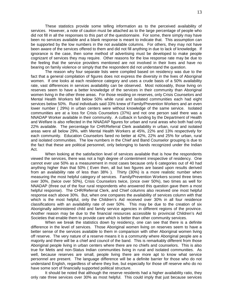These statistics provide some telling information as to the perceived availability of services. However, a note of caution must be attached as to the large percentage of people who did not fill in all the responses to this part of the questionnaire. For some, there simply may have been no services available and a blank response is meant to indicate that. This assumption can be supported by the low numbers in the not available columns. For others, they may not have been aware of the services offered to them and did not fill anything in due to lack of knowledge. If ignorance is the case, then some method of advertising must be developed to make people cognizant of services they may require. Other reasons for the low response rate may be due to the feeling that the service providers mentioned are not involved in their lives and have no bearing on family violence or simply that the respondent did not understand the question.

The reason why four separate lists were compiled based on residency was due to the fact that a general compilation of figures does not express the diversity in the lives of Aboriginal women. If one looks at each residence category and uses a crude basis of a 50% availability rate, vast differences in services availability can be observed. Most noticeably, those living on reserves seem to have a better knowledge of the services in their community than Aboriginal women living in the other three areas. For those residing on reserves, only Crisis Counselors and Mental Health Workers fell below 50% while rural and isolated communities each had eight services below 50%. Rural individuals said 33% knew of Family/Prevention Workers and an even lower number ( 29%) in urban centers were without knowledge of the same service. Isolated communities are at a loss for Crisis Counselors (37%) and not one person said there was a NNADAP Worker available in their community. A cutback in funding by the Department of Health and Welfare is also reflected in the NNADAP figures for urban and rural areas who both had only 22% available. The percentage for CHR/Referral Clerk availability in urban, rural and isolated areas were all below 29%, with Mental Health Workers at 45%, 22% and 13% respectively for each community. Education Counselors fared no better at 42%, 22% and 25% for urban, rural and isolated communities. The low numbers in the Chief and Band Counselor grouping is due to the fact that these are political personnel, only belonging to bands recognized under the Indian Act.

When looking at the satisfaction level of services available that is how the respondents viewed the services, there was not a high degree of contentment irrespective of residency. One cannot ever use 50% as a measurement in most cases because only 6 categories out of 40 had anything higher than that 50% ( Even then, all but two figures are based upon results derived from an availability rate of less than 38% ). Thirty (30%) is a more realistic number when measuring the most helpful category of services. Family/Prevention Workers scored three times over 30%, (twice over 50%), Crisis Counselors twice, (once over 50%), two times as well for NNADAP (three out of the four rural respondents who answered this question gave them a most helpful response). The CHR/Referral Clerk, and Chief columns also received one most helpful response each above 30%. But, when one compares the availability of services column with that which is the most helpful, only the Children's Aid received over 30% in all four residence classifications with an availability rate of over 50%. This may be due to the creation of six Aboriginally administered child and family service agencies in different regions of the province. Another reason may be due to the financial resources accessible to provincial Children's Aid Societies that enable them to provide care which is better than other community services.

When we break the statistics down by residency, one can see that there is a definite difference in the level of services. Those Aboriginal women living on reserves seem to have a better sense of the services available to them in comparison with other Aboriginal women living off reserve. The very nature of a reserve means it is a community where Aboriginal people are a majority and there will be a chief and council of the band. This is remarkably different from those Aboriginal people living in urban centers where there are no chiefs and counselors. This is also true for Metis and non-Status Indian communities living in rural and isolated communities. As well, because reserves are small, people living there are more apt to know what service personnel are present. The language difference will be a definite barrier for those who do not understand English, regardless of where they live, but especially for those off reserve who do no have some sort of financially supported political structure.

It should be noted that although the reserve residents had a higher availability ratio, they only rate three services over 30% as most helpful. This could imply that just because services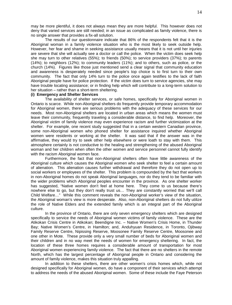may be more plentiful, it does not always mean they are more helpful. This however does not deny that varied services are still needed; in an issue as complicated as family violence, there is no single answer that provides a fix-all solution.

The results of our questionnaire indicate that 86% of the respondents felt that it is the Aboriginal woman in a family violence situation who is the most likely to seek outside help. However, her fear and shame in seeking assistance usually means that it is not until her injuries are severe that she will actually see a doctor or call the police. When the victim does seek help she may turn to other relatives (55%); to friends (50%); to service providers (37%); to parents (14%); to neighbors (12%); to community leaders (11%); and to others, such as police, or the church (14%). Figures like those just mentioned send a clear signal that community education and awareness is desperately needed since people's top choice is to first turn to their own community. The fact that only 14% turn to the police once again testifies to the lack of faith Aboriginal people have for police protection. If the victim does turn to service agencies, she may have trouble locating assistance; or in finding help which will contribute to a long-term solution to her situation – rather than a short-term sheltering.

#### **(i) Emergency and Shelter Services**

The availability of shelter services, or safe homes, specifically for Aboriginal women in Ontario is scarce. While non-Aboriginal shelters do frequently provide temporary accommodation for Aboriginal women, there are serious problems with the adequacy of these services for our needs. Most non-Aboriginal shelters are located in urban areas which means the women must leave their community, frequently traveling a considerable distance, to find help. Moreover, the Aboriginal victim of family violence may even experience racism and further victimization at the shelter. For example, one recent study suggested that in a certain western Canadian province, some non-Aboriginal women who phoned shelter for assistance inquired whether Aboriginal women were residents or working at the shelter. It was said that if the answer was in the affirmative, they would try to seek other help elsewhere or were loath to stay with them. This atmosphere certainly is not conductive to the healing and strengthening of the abused Aboriginal woman and her children when often the other women and service personnel cannot fully identify with the racism Aboriginal women face.

Furthermore, the fact that non-Aboriginal shelters often have little awareness of the Aboriginal culture which causes the Aboriginal women who seek shelter to feel a certain amount of alienation. This alienation causes further withdrawal and therefore they do not open up to social workers or employees of the shelter. This problem is compounded by the fact that workers in non-Aboriginal homes do not speak Aboriginal languages, nor do they tend to be familiar with the wider problems which Aboriginal peoples encounter in the province. As one shelter worker has suggested, "Native women don't feel at home here. They come to us because there's nowhere else to go, but they don't really trust us… They are constantly worried that we'll call Child Welfare…" While this comment reveals the non-Aboriginal worker's view of the situation, the Aboriginal woman's view is more desperate. Also, non-Aboriginal shelters do not fully utilize the role of Native Elders and the extended family which is an integral part of the Aboriginal culture.

In the province of Ontario, there are only seven emergency shelters which are designed specifically to service the needs of Aboriginal women victims of family violence. These are the Atikokan Crisis Centre in Atikokan; Beendigne Inc. – Native Women's Crisis Home, in Thunder Bay; Native Women's Centre, in Hamilton; and, Anduhyuan Residence, in Toronto, Ojibway Family Reserve Centre, Nipissing Reserve, Moosonee Family Reserve Centre, Moosonee and one other in Mote. These provide only a very small number of beds for Aboriginal women and their children and in no way meet the needs of women for emergency sheltering. In fact, the location of these three homes requires a considerable amount of transportation for most Aboriginal women experiencing family violence. The fact that there are no shelters in the remote North, which has the largest percentage of Aboriginal people in Ontario and considering the amount of family violence, makes this situation truly appalling.

In addition to these shelters, there are other women's crisis homes which, while not designed specifically for Aboriginal women, do have a component of their services which attempt to address the needs of the abused Aboriginal women. Some of these include the Faye Peterson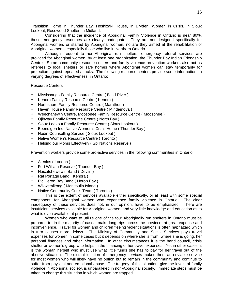Transition Home in Thunder Bay; Hoshizaki House, in Dryden; Women in Crisis, in Sioux Lookout; Rosewood Shelter, in Midland.

Considering that the incidence of Aboriginal Family Violence in Ontario is near 80%, these emergency resources are clearly inadequate. They are not designed specifically for Aboriginal women, or staffed by Aboriginal women, no are they aimed at the rehabilitation of Aboriginal women – especially those who live in Northern Ontario.

Although frequent to non-Aboriginal run shelters, emergency referral services are provided for Aboriginal women, by at least one organization, the Thunder Bay Indian Friendship Centre. Some community resource centers and family violence prevention workers also act as referees to local shelters or safe homes where Aboriginal women can stay temporarily for protection against repeated attacks. The following resource centers provide some information, in varying degrees of effectiveness, in Ontario:

# Resource Centers

- Mississauga Family Resource Centre ( Blind River )
- Kenora Family Resource Centre (Kenora)
- Northshore Family Resource Centre ( Marathon )
- Haven House Family Resource Centre ( Mindemoya )
- Weechahewin Centre, Moosonee Family Resource Centre ( Moosonee )
- Ojibway Family Resource Centre ( North Bay )
- Sioux Lookout Family Resource Centre ( Sioux Lookout )
- Beendigen Inc. Native Women's Crisis Home (Thunder Bay)
- Nodin Counselling Service ( Sioux Lookout )
- Native Women's Resource Centre ( Toronto )
- Helping our Moms Effectively ( Six Nations Reserve )

Prevention workers provide some pro-active services in the following communities in Ontario:

- Atenlos ( London )
- Fort William Reserve ( Thunder Bay )
- Naicatchewewin Band ( Devlin )
- Rat Portage Band ( Kenora )
- Pic Heron Bay Band ( Heron Bay )
- Wikwemikong ( Manitoulin Island )
- Native Community Crisis Team ( Toronto )

This is the extent of services available either specifically, or at least with some special component, for Aboriginal women who experience family violence in Ontario. The clear inadequacy of these services does not, in our opinion, have to be emphasized. There are insufficient services available for Aboriginal women, and very little knowledge and education as to what is even available at present.

Women who want to utilize one of the four Aboriginally run shelters in Ontario must be prepared to, in the majority of cases, make long trips across the province, at great expense and inconvenience. Travel for women and children fleeing violent situations is often haphazard which in turn causes more delays. The Ministry of Community and Social Services pays travel expenses for women in some cases but it depends on where she is from, where she is going, her personal finances and other information. In other circumstances it is the band council, crisis shelter or women's group who helps in the financing of her travel expenses. Yet in other cases, it is the woman herself who must use what little funds she has to pay for her travel out of the abusive situation. The distant location of emergency services makes them an enviable service for most women who will likely have no option but to remain in the community and continue to suffer from physical and emotional abuse. The tragedy of this situation, give the levels of family violence in Aboriginal society, is unparalleled in non-Aboriginal society. Immediate steps must be taken to change this situation in which women are trapped.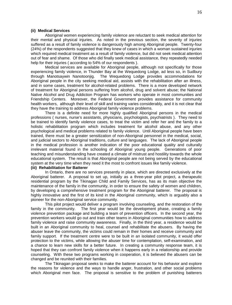#### **(ii) Medical Services**

Aboriginal women experiencing family violence are reluctant to seek medical attention for their mental and physical injuries. As noted in the previous section, the severity of injuries suffered as a result of family violence is dangerously high among Aboriginal people. Twenty-four (24%) of the respondents suggested that they knew of cases in which a woman sustained injuries which required medical treatment as a result of family violence, but did not seek medical attention out of fear and shame. Of those who did finally seek medical assistance, they repeatedly needed help for their injuries ( according to 54% of our respondents ).

Medical services are available for Aboriginal people, although not specifically for those experiencing family violence, in Thunder Bay at the Wequedong Lodge, ad less so, in Sudbury through Manotsaywin Nanotoonjig. The Wequedong Lodge provides accommodations for Aboriginal people in the city seeking medical aid, assists with the rehabilitation after an illness, and in some cases, treatment for alcohol-related problems. There is a more developed network of treatment for Aboriginal persons suffering from alcohol, drug and solvent abuse; the National Native Alcohol and Drug Addiction Program has workers who operate in most communities and Friendship Centers. Moreover, the Federal Government provides assistance for community health workers, although their level of skill and training varies considerably, and it is not clear that they have the training to address Aboriginal family violence problems.

There is a definite need for more highly qualified Aboriginal persons in the medical professions ( nurses, nurse's assistants, physicians, psychologists, psychiatrists ). They need to be trained to identify family violence cases, to treat the victim and refer her and the family to a holistic rehabilitation program which includes treatment for alcohol abuse, and any other psychological and medical problems related to family violence. Until Aboriginal people have been trained, there must be a greater sensitization of non-Aboriginal personnel in the medical, social, and judicial sectors to Aboriginal traditions, culture and languages. The lack of Aboriginal people in the medical profession is another indication of the poor educational quality and culturally irrelevant material found in the schooling of Aboriginal young people. Generations of poor teaching and misunderstanding have created a climate of mistrust and hostility towards the whole educational system. The result is that Aboriginal people are not being served by the educational system at the very time when they need it the most to confront issues like family violence.

#### **(iii) Rehabilitation for Batterer**

In Ontario, there are no services presently in place, which are directed exclusively at the Aboriginal batterer. A proposal to set up, initially as a three-year pilot project, a therapeutic residential program by the Tikinagan Child and Family Services, has as its main objective the maintenance of the family in the community, in order to ensure the safety of women and children, by developing a comprehensive treatment program for the Aboriginal batterer. The proposal is highly innovative and the first of its kind in the Aboriginal community, which is arguably also a pioneer for the non-Aboriginal service community.

This pilot project would deliver a program involving counseling, and the restoration of the family in the community. The first year would be the development phase, creating a family violence prevention package and building a team of prevention officers. In the second year, the prevention workers would go out and train other teams in Aboriginal communities how to address family violence and raise community awareness. Finally, in the third year, a residence would be built in an Aboriginal community to heal, counsel and rehabilitate the abusers. By having the abuser leave the community, the victims could remain in their homes and receive community and family support. If the treatment centre were to be built in an isolated community, it would offer protection to the victims, while allowing the abuser time for contemplation, self-examination, and a chance to learn new skills for a better future. In creating a community response team, it is hoped that they can confront family violence when it happens early in a relationship and provide counseling. With these two programs working in cooperation, it is believed the abusers can be changed and be reunited with their families.

The Tikinagan proposal seeks to make the batterer account for his behavior and explore the reasons for violence and the ways to handle anger, frustration, and other social problems which Aboriginal men face. The proposal is sensitive to the problem of punishing batterers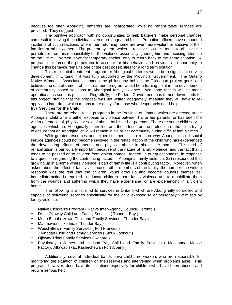because too often Aboriginal batterers are incarcerated while no rehabilitative services are provided. They suggest:

The punitive approach with no opportunities to help batterers make personal changes can result in leaving the individual even more angry and bitter. Probation officers have recounted incidents of such reactions, where men returning home are even more violent or abusive of their families or other women. The present system, which is reactive to crisis, tends to absolve the perpetrator from his responsibility for the violence essentially ignoring him and focusing attention on the victim. Women leave for temporary shelter, only to return back to the same situation. A program that forces the perpetrator to account for his behavior and provides an opportunity to change this behavior remains one of the best possibilities for a long term solution.

This residential treatment program for Aboriginal batterers would be a significant service development in Ontario if it was fully supported by the Provincial Government. The Ontario Native Women's Association supports the philosophy behind the Tikinagan project goals and believes the establishment of this treatment program would be a turning point in the development of community based solutions to Aboriginal family violence. We hope that is will be made operational as soon as possible. Regretfully, the Federal Government has turned down funds for this project, stating that the proposal was not written adequately, meaning they will have to reapply at a later date, which means more delays for those who desperately need help.

#### **(iv) Services for the Child**

There are no rehabilitative programs in the Province of Ontario which are directed at the Aboriginal child who is either exposed to violence between his or her parents, or has been the victim of emotional, physical or sexual abuse by his or her parents. There are some child service agencies, which are Aboriginally controlled, and these focus on the protection of the child, trying to ensure that an Aboriginal child will remain in his or her community during difficult family times.

With greater resources and expertise, there is no reason why Aboriginal child social service agencies could not become involved in the rehabilitation of the child who has experienced the devastating effects of mental and physical abuse in his or her home. This kind of rehabilitation is particularly important because of the nature of family violence, and the fact that it tends to be passed on to children from violent homes. Indeed, in our questionnaire, in response to a question regarding the contributing factors in Aboriginal family violence, 22% responded that growing up in a home where violence is part of family life is a contributing factor. Moreover, when asked about the effect of family violence on other members of the family, the number one written response was the fear that the children would grow up and become abusers themselves. Immediate action is required to educate children about family violence and to rehabilitate them from the wounds and suffering which they have experienced or are experiencing in a violent home.

The following is a list of child services in Ontario which are Aboriginally controlled and capable of delivering services specifically for the child exposed to or personally victimized by family violence:

- Native Children's Program ( Native Inter-Agency Council, Toronto )
- Dilico Ojibway Child and Family Services ( Thunder Bay )
- Meno Bimahdizewin Child and Family Services ( Thunder Bay )
- Mahmawenchike Inc. ( Thunder Bay )
- Weechiittewin Family Services ( Fort Frances )
- Tikinagan Child and Family Services ( Sioux Lookout )
- Ojbway Tribal Family Services ( Kenora )
- Payukotayno James and Hudson Bay Child and Family Services ( Moosonee, Moose Factory, Attawapiskat, Kashechewan Fort Albany )

Additionally, several individual bands have child care workers who are responsible for monitoring the situation of children on the reserves and intervening when problems arise. This program, however, does have its limitations especially for children who have been abused and require serious help.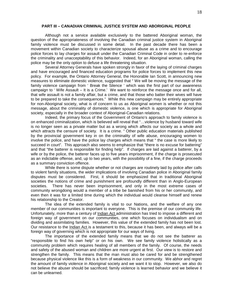#### **PART III – CANADIAN CRIMINAL JUSTICE SYSTEM AND ABORIGINAL PEOPLE**

Although not a service available exclusively to the battered Aboriginal woman, the question of the appropriateness of involving the Canadian criminal justice system in Aboriginal family violence must be discussed in some detail. In the past decade there has been a movement within Canadian society to characterize spousal abuse as a crime and to encourage police forces to lay charges for assault under the Canadian Criminal Code in order to re-enforce the criminality and unacceptability of this behavior. Indeed, for an Aboriginal woman, calling the police may be the only option to defuse a life threatening situation.

Several Attorney Generals have spoken strongly in favor of the laying of criminal charges and have encouraged and financed education programs for police forces to implement this new policy. For example, the Ontario Attorney General, the Honorable Ian Scott, in announcing new measures to eliminate domestic violence, suggested that " We will be moving the message of the family violence campaign from ' Break the Silence ' which was the first part of our awareness campaign to ' Wife Assault – It is a Crime.' We want to reinforce the message once and for all, that wife assault is not a family affair, but a crime, and that those who batter their wives will have to be prepared to take the consequences." While this new campaign may be entirely appropriate for non-Aboriginal society, what is of concern to us as Aboriginal women is whether or not this message, about the criminality of domestic violence, is one which is appropriate for Aboriginal society, especially in the broader context of Aboriginal-Canadian relations.

Indeed, the primary focus of the Government of Ontario's approach to family violence is on enhanced criminalization, which is believed will reveal that "…violence by husband toward wife is no longer seen as a private matter but as a wrong which affects our society as a whole and which attracts the censure of society. It is a crime. " Other public education materials published by the provincial government key in on the criminality of wife abuse, encouraging women to involve the police, and have the police lay charges which means that " the case is more likely to succeed in court". This approach also seems to emphasize that "there is no excuse for battering" and that "the batterer is responsible for finding help". If charges are laid against a batterer, by a wife or by the police, the batterer faces up to five years imprisonment, if the charge is prosecuted as an indictable offense, and, up to two years, with the possibility of a fine, if the charge proceeds as a summary conviction offence.

While there is some dispute whether or not charges are routinely laid by police after calls to violent family situations, the wider implications of involving Canadian police in Aboriginal family disputes must be considered. First, it should be emphasized that in traditional Aboriginal societies the notions of crime and punishment are profoundly different than in Anglo-European societies. There has never been imprisonment, and only in the most extreme cases of community wrongdoing would a member of a tribe be banished from his or her community, and even then it was for a limited time during which the individual would cleanse himself and renew his relationship to the Creator.

The idea of the extended family is vital to our Nations, and the welfare of any one member of our communities is important to everyone. This is the premise of our community life. Unfortunately, more than a century of Indian Act administration has tried to impose a different and foreign way of government on our communities, one which focuses on individualism and on dividing and assimilating families. However, this value of the extended family has not been lost. Our resistance to the Indian Act is a testament to this, because it has been, and always will be a foreign way of governing which is not appropriate for our ways of living.

The importance of the extended family means that we do not see the batterer as "responsible to find his own help" or on his own. We see family violence holistically as a community problem which requires healing of all members of the family. Of course, the needs and safety of the abused woman and children are more urgent at first. Our view is to restore and strengthen the family. This means that the man must also be cared for and be strengthened because physical violence like this is a form of weakness in our community. We abhor and regret the amount of family violence in Aboriginal society and we want it to stop. However, we also do not believe the abuser should be sacrificed; family violence is learned behavior and we believe it can be unlearned.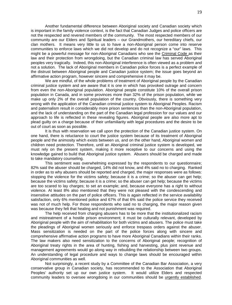Another fundamental difference between Aboriginal society and Canadian society which is important in the family violence context, is the fact that Canadian Judges and police officers are not the respected and revered members of the community. The most respected members of our community are our Elders and Spiritual leaders – our Grandmothers, our hereditary chiefs, our clan mothers. It means very little to us to have a non-Aboriginal person come into reserve communities to enforce laws which we did not develop and do not recognize a "our" laws. This might be a powerful message for non-Aboriginal Canadians who see the Criminal Code as their law and their protection from wrongdoing, but the Canadian criminal law has served Aboriginal peoples very tragically. Indeed, this non-Aboriginal interference is often viewed as a problem and not a solution. The lack of Aboriginal members in Canadian police forces is a perfect example of the distrust between Aboriginal people and Canadian justice system; the issue goes beyond an affirmative action program, however sincere and comprehensive it may be.

We are mindful, of the whole problems of treatment of Aboriginal people by the Canadian criminal justice system and are aware that it is one in which has provoked outrage and concern from even the non-Aboriginal population. Aboriginal people constitute 10% of the overall prison population in Canada, and in some provinces more than 32% of the prison population, while we make up only 2% of the overall population of the country. Obviously, there is something very wrong with the application of the Canadian criminal justice system to Aboriginal Peoples. Racism and paternalism result in considerably more prison sentences than the non-Aboriginal population, and the lack of understanding on the part of the Canadian legal profession for our values and our approach to life is reflected in these revealing figures. Aboriginal people are also more apt to plead guilty on a charge because of their unfamiliarity with legal procedures and the desire to be out of court as soon as possible.

It is thus with reservation we call upon the protection of the Canadian justice system. On one hand, there is reluctance to court the justice system because of its treatment of Aboriginal people and the animosity which exists between us, and on the other hand, Aboriginal women and children need protection. Therefore, until an Aboriginal criminal justice system is developed, we must rely on the present system, making it more receptive to our concerns and using the knowledge gained to build that Aboriginal justice system. Abusers should be charged and made to take mandatory counseling.

This sentiment was overwhelming expressed by the respondents to our questionnaire; 82% said the abuser should be charged, 14% did not know, and 4% said no to charging. Ranked in order as to why abusers should be reported and charged, the major responses were as follows: stopping the violence for the victims safety; because it is a crime; so the abuser can get help; because the victims safety; because it is a crime; so the abuser can get help; because the victims are too scared to lay charges; to set an example; and, because everyone has a right to without violence. At least 8% also mentioned that they were not pleased with the condescending and insensitive attitudes on the part of police officers. This is again reflected in the service availability satisfaction, only 6% mentioned police and 67% of that 6% said the police service they received was not of much help. For those respondents who said no to charging, the major reason given was because they felt that healing and not punishment was required.

The help received from charging abusers has to be more that the institutionalized racism and mistreatment of a hostile prison environment; it must be culturally relevant, developed by Aboriginal people with the aim of rehabilitation for both victims and abusers. The police must take the pleadings of Aboriginal women seriously and enforce trespass orders against the abuser. Mass sensitization is needed on the part of the police forces along with sincere and comprehensive affirmative action programs to have more Aboriginal Canadians within their ranks. The law makers also need sensitization to the concerns of Aboriginal people; recognition of Aboriginal treaty rights in the area of hunting, fishing and harvesting, plus joint revenue and management agreements would go along way in rebuilding the relationship between two groups. An understanding of legal procedure and ways to change laws should be encouraged within Aboriginal communities as well.

Not surprisingly, a recent study by a Committee of the Canadian Bar Association, a very conservative group in Canadian society, has recommended to the Association that Aboriginal Peoples' authority set up our own justice system. It would utilize Elders and respected community leaders to oversee wrongdoing in our communities should be urgently established.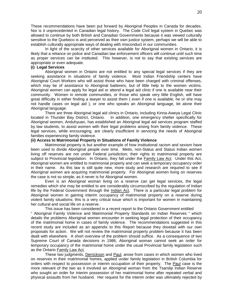These recommendations have been put forward by Aboriginal Peoples in Canada for decades. Nor is it unprecedented in Canadian legal history. The Code Civil legal system in Quebec was allowed to continue by both British and Canadian Governments because it was viewed culturally sensitive to the Quebeco is and perceived as their own justice system, perhaps we will be able to establish culturally appropriate ways of dealing with misconduct in our communities.

In light of the scarcity of other services available for Aboriginal women in Ontario, it is likely that a reliance on police and Canadian law enforcement officers will continue until such time as proper services can be instituted. This however, is not to say that existing services are appropriate or even adequate.

# **(i) Legal Services**

Aboriginal women in Ontario are not entitled to any special legal services if they are seeking assistance in situations of family violence. Most Indian Friendship centers have Aboriginal Court Workers who will assist those who have been charged with criminal offenses, which may be of assistance to Aboriginal batterers, but of little help to the women victims. Aboriginal women can apply for legal aid or attend a legal aid clinic if one is available near their community. Women in remote communities, or those who speak very little English, will have great difficulty in either finding a lawyer to assist them ( even if one is available, he or she may not handle cases on legal aid ), or one who speaks an Aboriginal language, let alone their Aboriginal language.

There are three Aboriginal legal aid clinics in Ontario, including Kinna-Aweya Legal Clinic located in Thunder Bay District, Ontario. In addition, one emergency shelter specifically for Aboriginal women, Anduhyuan, has established an Aboriginal legal aid services program staffed by law students, to assist women with their legal problems arising from family violence. These legal services, while encouraging, are clearly insufficient in servicing the needs of Aboriginal families experiencing family violence.

# **(ii) Access to Matrimonial Property in Situations of Family Violence**

Matrimonial property is but another example of how institutional racism and sexism have been used to divide Aboriginal people over time. Metis, non-Status and Status Indian women living off reserves are not under Federal jurisdiction; their rights to matrimonial property are subject to Provincial legislation. In Ontario, they fall under the Family Law Act. Under this Act, Aboriginal women are entitled to matrimonial property and can seek a temporary occupancy order in their name. As this law is still quite new, more study and research are required to see if Aboriginal women are acquiring matrimonial property. For Aboriginal women living on reserves the case is not so simple, as it never is for Aboriginal women.

Even is an Aboriginal woman living on a reserve can get legal services, the legal remedies which she may be entitled to are considerably circumscribed by the regulation of Indian life by the Federal Government through the *Indian Act*. There is a particular legal problem for Aboriginal women in gaining interim occupancy of matrimonial property on a reserve during violent family situations; this is a very critical issue which is important for women in maintaining her cultural and social life on a reserve.

This issue has been considered in a recent report to the Ontario Government entitled " Aboriginal Family Violence and Matrimonial Property Standards on Indian Reserves " which details the problems Aboriginal women encounter in seeking legal protection of their occupancy of the matrimonial home in cases of family violence. The recommendations suggested in this recent study are included as an appendix to this Report because they dovetail with our own proposals for action. We will not review the matrimonial property problem because it has been dealt with elsewhere. A short overview of the problem should suffice. As a consequence of two Supreme Court of Canada decisions in 1986, Aboriginal woman cannot seek an order for temporary occupancy of the matrimonial home under the usual Provincial family legislation such as the Ontario Family Law Act.

These two judgments, Derrickson and Paul, arose from cases in which women who lived on reserves in their matrimonial homes, applied under family legislation in British Columbia for orders with respect to possession or interim occupation of their property. The Paul case is the more relevant of the two as it involved an Aboriginal woman from the Tsarslip Indian Reserve who sought an order for interim possession of her matrimonial home after repeated verbal and physical assaults from her husband. Her request for the interim order was ultimately rejected by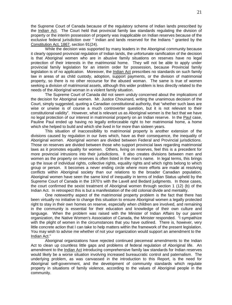the Supreme Court of Canada because of the regulatory scheme of Indian lands prescribed by the Indian Act. The Court held that provincial family law standards regulating the division of property or the interim possession of property was inapplicable on Indian reserves because of the exclusive federal jurisdiction over " Indian and lands reserved for the Indians " granted by the Constitution Act, 1867, section 91(24).

While the decision was supported by many leaders in the Aboriginal community because it clearly opposed provincial regulation of Indian lands, the unfortunate ramification of the decision is that Aboriginal women who are in abusive family situations on reserves have no legal protection of their interests in the matrimonial home. They will not be able to apply under provincial family legislation for an interim order for possession, because Provincial family legislation is of no application. Moreover, the Indian Act prescribes no standards on such family law in areas of as child custody, adoption, support payments, or the division of matrimonial property, so there is no other recourse for the abused woman. The same is true of women seeking a division of matrimonial assets, although this wider problem is less directly related to the needs of the Aboriginal woman in a violent family situation.

The Supreme Court of Canada did not seem unduly concerned about the implications of the decision for Aboriginal women. Mr. Justice Chouinard, writing the unanimous decision of the Court, simply suggested, quoting a Canadian constitutional authority, that "whether such laws are wise or unwise is of course a much controverter question, but it is not relevant to their constitutional validity". However, what is relevant us as Aboriginal women is the fact that we have no legal protection of our interest in matrimonial property on an Indian reserve. In the Paul case, Pauline Paul ended up having no legally enforceable right to her matrimonial home, a home which she helped to build and which she lived in for more than sixteen years.

This situation of inaccessibility to matrimonial property is another extension of the divisions caused by regulation in our lives which, have as their consequence, the inequality of Aboriginal women. Aboriginal women are divided between Federal and Provincial jurisdictions. Those on reserves are divided between those who support provincial laws regarding matrimonial laws as it promotes equality for women. Others, living on reserves, feel this is a precedent for more provincial intrusions into their jurisdictions. It also creates divisions between men and women as the property on reserves is often listed in the man's name. In legal terms, this brings up the issue of individual rights, collective rights, equality rights and which rights belong to which group or person. It becomes a never ending circle where more efforts are made at resolving conflicts within Aboriginal society than our relations to the broader Canadian population. Aboriginal women have seen the same kind of inequality in terms of Indian Status upheld by the Supreme Court of Canada in the 1970's with the Lavell and Bedard judgments. In those cases, the court confirmed the sexist treatment of Aboriginal women through section 1 (12) (b) of the Indian Act. In retrospect this is but a manifestation of the old colonial divide and mentality.

One noteworthy aspect of the matrimonial property problem is the fact that there has been virtually no initiative to change this situation to ensure Aboriginal women a legally protected right to stay in their own homes on reserve, especially when children are involved, and remaining in the community is essential for their education and knowledge of their own culture and language. When the problem was raised with the Minister of Indian Affairs by our parent organization, the Native Women's Association of Canada, the Minister responded. "I sympathize with the plight of women in the circumstances that you have outlined. There is, however, very little concrete action that I can take to help matters within the framework of the present legislation. You may wish to advise me whether of not your organization would support an amendment to the Indian Act."

Aboriginal organizations have rejected continued piecemeal amendments to the Indian Act to clean up countless little gaps and problems of federal regulation of Aboriginal life. An amendment to the Indian Act introducing comprehensive family law standards for Indian reserves would likely be a worse situation involving increased bureaucratic control and paternalism. The underlying problem, as was canvassed in the introduction to this Report, is the need for Aboriginal self-government, and the development of community standards which regulate property in situations of family violence, according to the values of Aboriginal people in the community.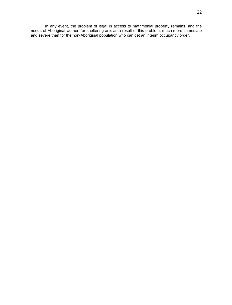In any event, the problem of legal in access to matrimonial property remains, and the needs of Aboriginal women for sheltering are, as a result of this problem, much more immediate and severe than for the non-Aboriginal population who can get an interim occupancy order.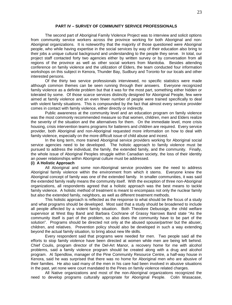#### **PART IV – SURVEY OF COMMUNITY SERVICE PROFESSIONALS**

The second part of Aboriginal Family Violence Project was to interview and solicit options from community service workers across the province working for both Aboriginal and non-Aboriginal organizations. It is noteworthy that the majority of those questioned were Aboriginal people, who while having expertise in the social services by way of their education also bring to their jobs a unique cultural background and understanding to the people they serve. In total, our project staff contacted forty two agencies either by written survey or by conversation from all regions of the province as well as other social workers from Manitoba. Besides attending conference on family violence and the utilization of Elders, the team conducted four information workshops on this subject in Kenora, Thunder Bay, Sudbury and Toronto for our locals and other interested persons.

Of the thirty two service professionals interviewed, no specific statistics were made although common themes can be seen running through their answers. Everyone recognized family violence as a definite problem but that it was for the most part, something either hidden or tolerated by some. Of those scarce services distinctly designed for Aboriginal People, few were aimed at family violence and an even fewer number of people were trained specifically to deal with violent family situations. This is compounded by the fact that almost every service provider comes in contact with family violence, either directly or indirectly.

Public awareness at the community level and an education program on family violence was the most commonly recommended measure so that women, children, men and Elders realize the severity of the situation and the alternatives for them. On the immediate level, more crisis housing, crisis intervention teams programs for batterers and children are required. Every service provider, both Aboriginal and non-Aboriginal requested more information on how to deal with family violence, especially on the more difficult issue of child abuse and incest.

In the long term, more trained Aboriginal service providers working for Aboriginal social service agencies need to be developed. The holistic approach to family violence must be pursued to address the individual, the family, the extended family, and the community. Finally, the whole issue of Aboriginal Peoples struggle within Canadian society, the loss of their identity an power relationships within Aboriginal culture must be addressed.

# **(i) A Holistic Approach**

All Aboriginal and some non-Aboriginal service providers see the need to address Aboriginal family violence within the environment from which it stems. Everyone knew the Aboriginal concept of family was one of the extended family. In smaller communities, it was said the extended family really means the community itself. With the exception of three non-Aboriginal organizations, all respondents agreed that a holistic approach was the best means to tackle family violence. A holistic method of treatment is meant to encompass not only the nuclear family but also the extended family, neighbors, as well as different treatment methods.

This holistic approach is reflected as the response to what should be the focus of a study and what programs should be developed. Most said that a study should be broadened to include all people affected by a violent family situation. Both Theodore Debussige, the child welfare supervisor at West Bay Band and Barbara Cochrane of Grassy Narrows Band state "As the community itself is part of the problem, so also does the community have to be part of the solution". Programs should be directed not only at the abused spouse/partner but the abuser, children, and relatives. Prevention policy should also be developed in such a way extending beyond the actual family situation, to bring about new life skills.

Every respondent said that programs were needed for men. Two people said all the efforts to stop family violence have been directed at women while men are being left behind. Chief Coulis, program director of the Del-Art Manor, a recovery home for me with alcohol problems, said a family violence program should be created along with a drug and alcohol program. Al Spendlow, manager of the Pine Community Resource Centre, a half-way house in Kenora, said he was surprised that there was no home for Aboriginal men who are abusive of their families. He also said many of the men in his care had been involved in abusive situations in the past, yet none were court mandated to the Pines on family violence related charges.

All Native organizations and most of the non-Aboriginal organizations recognized the need to develop programs culturally appropriate for Aboriginal People. Colin Wasacase,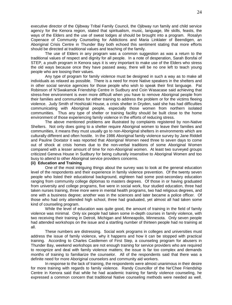executive director of the Ojibway Tribal Family Council, the Ojibway run family and child service agency for the Kenora region, stated that spiritualism, music, language, life skills, feasts, the ways of the Elders and the use of sweat lodges al should be brought into a program. Rosalyn Copenace of Community Counseling for Addictions and Maria Linklater of Beendigen, an Aboriginal Crisis Centre in Thunder Bay both echoed this sentiment stating that more efforts should be directed at traditional values and teaching of the family.

The use of Elders in any program was a common suggestion as was a return to the traditional values of respect and dignity for all people. In a note of desperation, Sarah Borsfai of STEP, a youth program in Kenora says it is very important to make use of the Elders who stress the old ways because once they have passed away, there will be no one left to teach young people who are loosing their values.

Any type of program for family violence must be designed in such a way as to make all individuals as relaxed as possible. There is a need for more Native speakers in the shelters and in other social service agencies for those people who wish to speak their first language. Pat Robinson of N'Swakamok Friendship Centre in Sudbury and Coin Wasacase said achieving that stress-free environment is even more difficult when you have to remove Aboriginal people from their families and communities for either training to address the problem or for the victims fleeing violence. Judy Smith of Hoshizaki House, a crisis shelter in Dryden, said she has had difficulties communicating with Aboriginal people, especially those women from northern isolated communities. Thus any type of shelter or training facility should be built close to the home environment of those experiencing family violence in the efforts of reducing stress.

The above mentioned problems are illustrated by complaints registered by non-Native Shelters. Not only does going to a shelter require Aboriginal women to leave their families and communities, it means they must usually go to non-Aboriginal shelters in environments which are culturally different and often hostile. In the 1986 Aboriginal family violence survey by Jane Riddell and Pauline Doxtator it was reported that Aboriginal Women need three to seven days to come out of shock at crisis homes due to the non-verbal traditions of some Aboriginal Women compared with a lesser amount of time for non-Aboriginal women. At least two surveyed groups criticized Geneva House in Sudbury for being culturally insensitive to Aboriginal Women and too busy to attend to other Aboriginal service providers concerns.

# **(ii) Education and Training**

One of the most intriguing things about the survey was to look at the general education level of the respondents and their experience in family violence prevention. Of the twenty seven people who listed their educational background, eighteen had some post-secondary education ranging from community college diplomas to masters degrees. Of those in or having graduated from university and college programs, five were in social work, four studied education, three had taken nurses training, three more were in mental health programs, two had religious degrees, and one with a business degree; another was in the sciences and later became a police officer. Of those who had only attended high school, three had graduated, yet almost all had taken some kind of counseling program.

While the level of education was quite good, the amount of training in the field of family violence was minimal. Only six people had taken some in-depth courses in family violence, with two receiving their training in Detroit, Michigan and Minneapolis, Minnesota. Only seven people had attended workshops on the issue and a startling number of thirteen people had no training at all.

These numbers are distressing. Social work programs in colleges and universities must address the issue of family violence, why it happens and how it can be stopped with practical training. According to Charles Castlemen of First Step, a counseling program for abusers in Thunder Bay, weekend workshops are not enough training for service providers who are required to recognize and deal with family violence matters; the issue is far too complex and demands months of training to familiarize the counselor. All of the respondents said that there was a definite need for more Aboriginal counselors and community aid workers.

In response to the lack of training, the respondents were almost unanimous in their desire for more training with regards to family violence. Randy Councillor of the Ne'Chee Friendship Centre in Kenora said that while he had academic training for family violence counseling, he expressed a common concern that traditional Native counseling methods were needed as well.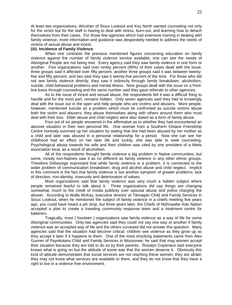At least two organizations, Wicshan of Sioux Lookout and Key North wanted counseling not only for the victim but for the staff in having to deal with stress, burn-out, and learning how to detach themselves from their cases. For those few agencies which had extensive training in dealing with family violence, more information and guidance was desperately needed to address the needs of victims of sexual abuse and incest.

#### **(iii) Incidence of Family Violence**

When one contrasts the previous mentioned figures concerning education on family violence against the number of family violence service available, one can see the needs of Aboriginal People are not being met. Every agency said they saw family violence in one form or another. Five organizations said over ninety percent (90%) of their cases dealt with the issue, three groups said it affected over fifty percent, another three groups said it was between twentyfive and fifty percent, and two said they saw it twenty-five percent of the time. For those who did not see family violence directly, they saw it indirectly through family breakdown, alcoholism, suicide, child behavioral problems and mental illness. Nine groups dealt with the issue on a frontline basis through counseling and the same number said they gave referrals to other agencies.

As to the issue of incest and sexual abuse, the respondents felt it was a difficult thing to handle and for the most part, remains hidden. Only seven agencies said they had to knowingly deal with the issue out in the open and help people who are victims and abusers. More people, however, mentioned suicide as a problem which must be confronted as suicide victims abuse both the victim and abusers; they abuse themselves along with others around them who must deal with their loss. Elder abuse and child neglect were also stated as a form of family abuse.

Four out of six people answered in the affirmative as to whether they had encountered an abusive situation in their own personal life. One woman from a Southern Ontario Friendship Centre honestly summed up her situation by stating that she had been abused by her mother as a child and later was abused in a personal relationship for a period. Now she can see her childhood had an effect on her later life and luckily, she was able to seek counseling. Psychological abuse towards his wife and their children was cited by one president of a Metis association local, as a result of alcoholism.

All of the respondents thought family violence a big problem in Native communities, but some, mostly non-Natives saw it as no different as family violence in any other ethnic groups. Theodore Debassige expressed that while family violence is a problem, it is connected to the wider problem of communication breakdown, drug and alcohol abuse and child neglect. Implicit in this comment is the fact that family violence is but another symptom of greater problems; lack of direction, non-identity, insecurity and deterioration of values.

Most organizations said that family violence was very much a hidden subject where people remained fearful to talk about it. Three organizations did say things are changing somewhat, much to the credit of media publicity over spousal abuse and police charging the abuser. According to Wally McKay, executive director at Tikinagan Child and Family Services in Sioux Lookout, when he mentioned the subject of family violence in a chiefs meeting five years ago, you could have heard a pin drop, but three years later, the Chiefs of Nishnawbe Aski Nation accepted a plan to create a traveling community response team and a treatment centre for batterers.

Tragically, most ( fourteen ) organizations saw family violence as a way of life for some Aboriginal communities. Only two agencies said they could not say one way or another if family violence was an accepted way of life and the others surveyed did not answer this question. Many agencies said that the situation had become critical; children see violence as they grow up so they accept it later if it happens to them. One of the most shocking statements came from Alex Gunner of Paynkotano Child and Family Services in Moosonee; he said that may women accept their situation because they are told to do so by their parents. Rosalyn Copenace said everyone knows what is going on but the attitude of some was that the women deserve it. Obviously this kind of attitude demonstrates that social services are not reaching these women; they are afraid, they may not know what services are available to them, and they do not know that they have a right to live in a violence free environment.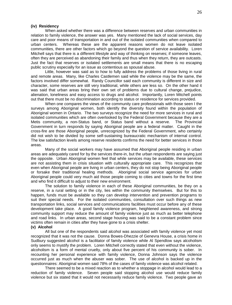#### **(iv) Residency**

When asked whether there was a difference between reserves and urban communities in relation to family violence, the answer was yes. Many mentioned the lack of social services, day care and poor means of transportation in and out of the isolated communities when compared to urban centers. Whereas these are the apparent reasons women do not leave isolated communities, there are other factors which go beyond the question of service availability. Loren Mitchell says that there is a different lifestyle and way of thinking on reserves; if someone leaves, often they are perceived as abandoning their family and thus when they return, they are outcasts. Just the fact that reserves or isolated settlements are small means that there is no escaping public scrutiny especially for an issue as contentious as spousal abuse.

Little, however was said as to how to fully address the problems of those living in rural and remote areas. Many, like Charles Castlemen said while the violence may be the same, the factors involved differ somewhat. Randy Councillor said each community is different in size and character, some reserves are still very traditional, while others are less so. On the other hand it was said that urban areas bring their own set of problems due to cultural change, prejudice, alienation, loneliness and easy access to drugs and alcohol. Importantly, Loren Mitchell points out that there must be no discrimination according to status or residence for services provided.

When one compares the views of the community care professionals with those seen I the surveys among Aboriginal women, both identify the diversity found within the population of Aboriginal women in Ontario. The two surveys recognize the need for more services in rural and isolated communities which are often overlooked by the Federal Government because they are a Metis community, a non-Status band, or Status band without a reserve. The Provincial Government in turn responds by saying Aboriginal people are a federal matter. Caught in the cross-fire are those Aboriginal people, unrecognized by the Federal Government, who certainly did not wish to be divided by some self-sustaining bureaucratic mechanism of internal control. The low satisfaction levels among reserve residents confirms the need for better services in those areas.

Many of the social workers may have assumed that Aboriginal people residing in urban areas are adequately cared for by the services there-in, but the urban respondents are saying just the opposite. Urban Aboriginal women feel that while services may be available, these services are not assisting them in crisis situation with culturally appropriate care. This recognizes that even when Aboriginal people are living in urban centers, they do not stop being Aboriginal people or forsake their traditional healing methods. Aboriginal social service agencies for urban Aboriginal people could very much aid those people coming to cities and towns for the first time and who find it difficult to adjust to their new environment.

The solution to family violence in each of these Aboriginal communities, be they on a reserve, in a rural setting or in the city, lies within the community themselves. But for this to happen, funds must be available so they can develop intervention and prevention programs to suit their special needs. For the isolated communities, consultation over such things as new transportation links, social services and communications facilities must occur before any of these development take place. A good family violence program, heightened awareness, and strong community support may reduce the amount of family violence just as much as better telephone and road links. In urban areas, second stage housing was said to be a constant problem since victims often remain in cities after they have gone to a crisis shelter.

# **(v) Alcohol**

All but one of the respondents said alcohol was associated with family violence yet most recognized that it was not the cause. Donna Bowes-Dhezzie of Genevra House, a crisis home in Sudbury suggested alcohol is a facilitator of family violence while Al Spendlow says alcoholism only seems to mystify the problem. Loren Mitchell correctly stated that even without the violence, alcoholism is a form of mental cruelty, only about five percent of his community is sober. In recounting her personal experience with family violence, Donna Johnson says the violence occurred just as much when the abuser was sober. The use of alcohol is backed up in the questionnaires: Aboriginal women said 78% of the cases of family violence was alcohol related.

There seemed to be a mixed reaction as to whether a stoppage in alcohol would lead to a reduction of family violence. Seven people said stopping alcohol use would reduce family violence but six stated that it would not necessarily reduce family violence. Two people gave an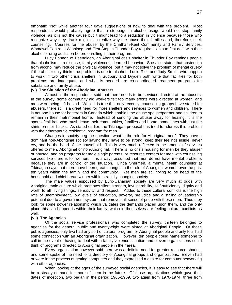emphatic "No" while another four gave suggestions of how to deal with the problem. Most respondents would probably agree that a stoppage in alcohol usage would not stop family violence; as it is not the cause but it might lead to a reduction in violence because those who recognize why they drank might also realize why the abuse their families and, therefore, seek counseling. Courses for the abuser by the Chatham-Kent Community and Family Services, Wamawai Centre in Winnipeg and First Step in Thunder Bay require clients to first deal with their alcohol or drug addiction before enrolling in their program.

Lucy Bannon of Beendigen, an Aboriginal crisis shelter in Thunder Bay reminds people that alcoholism is a disease, family violence is learned behavior. She also states that abstention from alcohol may reduce the physical violence, but it may not solve the problem of mental cruelty if the abuser only thinks the problem is due to alcohol. Lucie Rice and Judy Smith, who happen to work in two other crisis shelters in Sudbury and Dryden both write that facilities for both problems are inadequate and what is needed are co-coordinated treatment programs for substance and family abuse.

# **(vi) The Situation of the Aboriginal Abusers**

Almost all the respondents said that there needs to be services directed at the abusers. In the survey, some community aid workers felt too many efforts were directed at women, and men were being left behind. While it is true that only recently, counseling groups have stated for abusers, there still is a great need for more shelters and services to women and children. There is not one house for batterers in Canada which enables the abuse spouse/partner and children to remain in their matrimonial home. Instead of sending the abuser away for healing, it is the spouse/children who mush leave their communities, families and home, sometimes with just the shirts on their backs. As stated earlier, the Tikinagan proposal has tried to address this problem with their therapeutic residential program for men.

Changes in society beg the question; what is the role for Aboriginal men? They have a dominant non-Aboriginal society saying they have to be strong, keep their feelings inside, never cry, and be the head of the household. This is very much reflected in the amount of services offered to men, Aboriginal or non-Aboriginal. There is no crisis housing for men be they abuser or abused, and no programs for male single parents, or resource centers for men with counseling services like there is for women. It is always assumed that men do not have mental problems because they are in control of the situation. Linda Shermen, a mental health counselor at Tikinagan says that there have been great changes in the role of Aboriginal women over the past ten years within the family and the community. Yet men are still trying to be head of the household and chief bread winner within a rapidly changing society.

The male values espoused by Euro-Canadian society are very much at odds with Aboriginal male culture which promotes silent strength, invulnerability, self-sufficiency, dignity and worth to all living things, sensitivity, and respect. Added to these cultural conflicts is the high rate of unemployment, low levels of education, poverty, prejudice and a stifling of leadership potential due to a government system that removes all sense of pride with these men. Thus they look for some power relationship which validates the demands placed upon them, and the only place this can happen is within their family, which in themselves are feeling cultural conflicts as well.

# **(vii) The Agencies**

Of the social service professionals who completed the survey, thirteen belonged to agencies for the general public and twenty-eight were aimed at Aboriginal People. Of those public agencies, only two had any sort of cultural program for Aboriginal people and only four had some connection with an Aboriginal organization. However, ten people could name someone to call in the event of having to deal with a family violence situation and eleven organizations could think of programs directed to Aboriginal people in their area.

Every organization however said there was a definite need for greater resource sharing, and some spoke of the need for a directory of Aboriginal groups and organizations. Eleven had or were in the process of getting computers and they expressed a desire for computer networking with other agencies.

When looking at the ages of the surveyed social agencies, it is easy to see that there will be a steady demand for more of them in the future. Of those organizations which gave their dates of inception, two began in the period 1965-1969, two again from 1970-1974, three from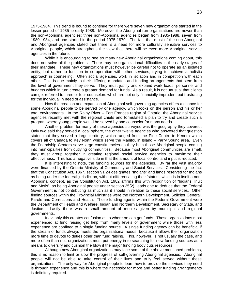1975-1984. This trend is bound to continue for there were seven new organizations started in the lesser period of 1985 to early 1988. Moreover the Aboriginal run organizations are newer than the non-Aboriginal agencies; three non-Aboriginal agencies began from 1985-1988, seven from 1980-1984, and one started in the period 1975-1979. The fact that most of the non-Aboriginal and Aboriginal agencies stated that there is a need for more culturally sensitive services to Aboriginal people, which strengthens the view that there will be even more Aboriginal service agencies in the future.

While it is encouraging to see so many new Aboriginal organizations coming about, this does not solve all the problems. There may be organizational difficulties in the early stages of their mandate. These new organizations must however be careful not to operate as an isolated entity, but rather to function in co-operation with other services, trying to achieve a holistic approach in counseling. Often social agencies, work in isolation and in competition with each other. This is due mainly to their differing mandates and funding arrangements that stem from the level of government they serve. They must justify and expand work loads, personnel and budgets which in turn create a greater demand for funds. As a result, it is not unusual that clients can get referred to three or four counselors which are not only financially imprudent but frustrating for the individual in need of assistance.

Now the creation and expansion of Aboriginal self-governing agencies offers a chance for some Aboriginal people to be served by one agency, which looks on the person and his or her total environments. In the Rainy River – Fort Frances region of Ontario, the Aboriginal service agencies recently met with the regional chiefs and formulated a plan to try and create such a program where young people would be served by one counselor for many needs.

Another problem for many of these agencies surveyed was the geography they covered. Only two said they served a local sphere, the other twelve agencies who answered that question stated that they served a large territory, which ranged from the Pine Centre in Kenora which covers all of Canada to Key North which serve the Manitoulin Island – Parry Sound area. Even the Friendship Centers serve large constituencies as they help those Aboriginal people coming into municipalities from outlying communities. Because most Aboriginal communities are small, they must group together in creating regional social service agencies to maximize their effectiveness. This has a negative side in that the amount of local control and input is reduced.

It is interesting to note, the funding sources for the agencies. By far the vast majority were financed by the Ontario Ministry of Community and Social Services. Considering the fact that the Constitution Act, 1867, section 91:24 designates "Indians" and lands reserved for Indians as being under the federal jurisdiction, without differentiating their 'status', which is in itself a non-Aboriginal concept, as the Constitution Act, 1982 affirms this with recognition of "Indians, Inuit and Metis", as being Aboriginal people under section 35(2), leads one to deduce that the Federal Government is not contributing as much as it should in relation to these social services. Other finding sources within the Provincial Ministries were the Northern Development, Solicitor General, Parole and Corrections and Health. Those funding agents within the Federal Government were the Department of Health and Welfare, Indian and Northern Development, Secretary of State, and Justice. Lastly there was a small amount of monies given by municipal and regional governments.

Inevitably this creates confusion as to where on can get funds. Those organizations most experienced at fund raising get help from many levels of government while those with less experience are confined to a single funding source. A single funding agency can be beneficial if the stream of funds always meets the organizational needs, because it allows their organization more time to devote to duties other than fund raising. This, however, is not usually the case, and more often than not, organizations must put energy in to searching for new funding sources as a means to diversify and cushion the blow if the major funding body cuts resources.

Although new Aboriginal organizations may face some of the above mentioned problems, this is no reason to limit or slow the progress of self-governing Aboriginal agencies. Aboriginal people will not be able to take control of their lives and truly feel served without these organizations. The only way for Aboriginal people to learn how to provide the services they need is through experience and this is where the necessity for more and better funding arrangements is definitely required.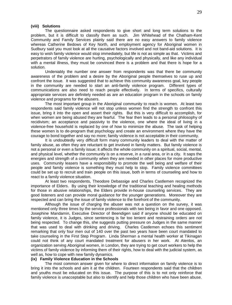#### **(viii) Solutions**

The questionnaire asked respondents to give short and long term solutions to the problem, but it is difficult to classify them as such. Jim Whitehead of the Chatham-Kent Community and Family Services plainly said there are no easy answers to family violence whereas Catherine Bedows of Key North, and employment agency for Aboriginal women in Sudbury said you must look at all the causative factors involved and not band-aid solutions. It is easy to wish family violence would stop immediately, but life is not as simple as that. Victims and perpetrators of family violence are hurting, psychologically and physically, and like any individual with a mental illness, they must be convinced there is a problem and that there is hope for a solution.

Undeniably the number one answer from respondents was that there be community awareness of the problem and a desire by the Aboriginal people themselves to ruse up and confront the issue. It was suggested that to achieve this community awareness goal, key people in the community are needed to start an anti-family violence program. Different types of communications are also need to reach people effectively. In terms of specifics, culturally appropriate services are definitely needed as are an education program in the schools on family violence and programs for the abusers.

The most important group in the Aboriginal community to reach is women. At least two respondents said family violence will not stop unless women find the strength to confront this issue, bring it into the open and assert their rights. But this is very difficult to accomplish, for when women are being abused they are fearful. The fear then leads to a personal philosophy of recidivism; an acceptance and passivity to the violence, one where the ideal of living in a violence-free household is replaced by one of how to minimize the abuse. The task of helping these women is to de-program that psychology and create an environment where they have the courage to bond together and say no more; family violence is not acceptable in their community.

It is undoubtedly very difficult form many community leaders to deal with the matter of family abuse, as often they are reluctant to get involved in family matters. But family violence is not a personal or even a family issue; it affects the whole community on a spiritual, social, mental, and physical level, whether the community is on a reserve, in a rural area, or in a city. It saps the energies and strength of a community when they are needed in other places for more productive uses. Community leasers have a responsibility to promote the well being and welfare of their people and family violence is something they must help to stop. Family violence committees could be set up to recruit and train people on this issue, both in terms of counseling and how to react to a family violence situation.

At least two respondents, Theodore Debassige and Charles Castlemen recognized the importance of Elders. By using their knowledge of the traditional teaching and healing methods for those in abusive relationships, the Elders provide in-house counseling services. They are good listeners and can provide moral guidance for the younger generations. Moreover they are respected and can bring the issue of family violence to the forefront of the community.

Although the issue of charging the abuser was not a question on the survey, it was mentioned only three times by the service professionals with two being in favor and one opposed. Josephine Mandamin, Executive Director of Beendigen said if anyone should be educated on family violence, it is Judges, since sentencing is far too lenient and restraining orders are not being respected. To change this, she suggests putting pressure on Judges in the same manner that was used to deal with drinking and driving. Charles Castlemen echoes this sentiment remarking that only four men out of 140 over the past two years have been court mandated to take counseling in the First Step Program. Linda Sherman a mental health worker at Tikinagan could not think of any court mandated treatment for abusers in her work. At Atenlos, an organization serving Aboriginal women, in London, they are trying to get court workers to help the victims of family violence by informing them of their rights, how to deal with the judicial system, as well as, how to cope with new family dynamics.

# **(ix) Family Violence Education in the Schools**

The most common answer given for where to direct information on family violence is to bring it into the schools and aim it at the children. Fourteen respondents said that the children and youths must be educated on this issue. The purpose of this is to not only reinforce that family violence is unacceptable but also to identify and help those children who have been abuse.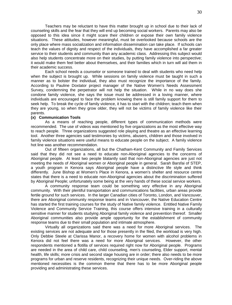Teachers may be reluctant to have this matter brought up in school due to their lack of counseling skills and the fear that they will end up becoming social workers. Parents may also be opposed to this idea since it might scare their children or expose their own family violence situations. These attitudes, however meaningful, must be overlooked because schools are the only place where mass socialization and information dissemination can take place. If schools can teach the values of dignity and respect of the individuals, they have accomplished a far greater service to their students and community than any academic class. Addressing this subject would also help students concentrate more on their studies, by putting family violence into perspective; it would make them feel better about themselves, and their families which in turn will aid them in their academic success.

Each school needs a counselor or someone trained to deal with students who need help when the subject is brought up. While sessions on family violence must be taught in such a manner as to bolster the individual, they also must recognize the importance of the family. According to Pauline Doxtator project manager of the Native Women's Needs Assessment Survey, condemning the perpetrator will not help the situation. While in no way does she condone family violence, she says the issue must be addressed in a loving manner, where individuals are encouraged to face the problem knowing there is still family support for them to seek help. To break the cycle of family violence, it has to start with the children; teach them when they are young, so when they grow older, they will not be victims of family violence like their parents.

#### **(x) Communication Tools**

As a means of reaching people, different types of communication methods were recommended. The use of videos was mentioned by five organizations as the most effective way to reach people. Three organizations suggested role playing and theatre as an effective learning tool. Another three agencies said testimonies by victims, abusers, children and those involved in family violence situations were useful means to educate people on the subject. A family violence hot line was another recommendation.

Out of fifteen organizations, all but the Chatham-Kent Community and Family Services said that they did not see a need to educate non-Aboriginal agencies to the concerns of Aboriginal people. At least two people blatantly said that non-Aboriginal agencies are just not meeting the needs of Aboriginal women or Aboriginal people in general. Sarah Barsfai of STEP, a youth program in Kenora says Aboriginal people have a distinctive life style and think differently. June Bishop at Women's Place in Kenora, a women's shelter and resource centre states that there is a need to educate non-Aboriginal agencies about the discrimination suffered by Aboriginal People; unfortunately some being at the very hands of these social service workers.

A community response team could be something very effective in any Aboriginal community. With their plentiful transportation and communications facilities, urban areas provide fertile ground for such services. In the larger Canadian cities of Toronto, London, and Vancouver, there are Aboriginal community response teams and in Vancouver, the Native Education Centre has started the first training courses for the study of Native family violence. Entitled Native Family Violence and Community Service Training, this course offers intensive training in a culturally sensitive manner for students studying Aboriginal family violence and prevention thereof. Smaller Aboriginal communities also provide ample opportunity for the establishment of community response teams due to their small population and intimate atmosphere.

Virtually all organizations said there was a need for more Aboriginal services. The existing services are not adequate and for those presently in the filed, the workload is very high. Only Debbie Steele at Clarissa Manor, a recovery home for women with alcohol problems in Kenora did not feel there was a need for more Aboriginal services. However, the other respondents mentioned a flotilla of services required right now for Aboriginal people. Programs are needed in the area of child care, child counseling, men's counseling, Elder support, mental health, life skills; more crisis and second stage housing are in order; there also needs to be more programs for urban and reserve residents, recognizing their unique needs. Over-riding the above mentioned necessities is the common theme that there has to be more Aboriginal people providing and administrating these services.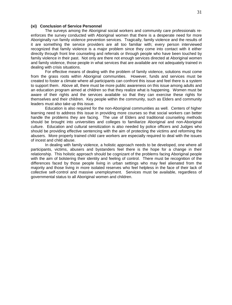# **(xi) Conclusion of Service Personnel**

The surveys among the Aboriginal social workers and community care professionals reenforces the survey conducted with Aboriginal women that there is a desperate need for more Aboriginally run family violence prevention services. Tragically, family violence and the results of it are something the service providers are all too familiar with; every person interviewed recognized that family violence is a major problem since they come into contact with it either directly through front line counseling and referrals or through people who have been touched by family violence in their past. Not only are there not enough services directed at Aboriginal women and family violence, those people in what services that are available are not adequately trained in dealing with crisis situations.

For effective means of dealing with the problem of family violence, solutions must come from the grass roots within Aboriginal communities. However, funds and services must be created to foster a climate where all participants can confront this issue and feel there is a system to support them. Above all, there must be more public awareness on this issue among adults and an education program aimed at children so that they realize what is happening. Women must be aware of their rights and the services available so that they can exercise these rights for themselves and their children. Key people within the community, such as Elders and community leaders must also take up this issue.

Education is also required for the non-Aboriginal communities as well. Centers of higher learning need to address this issue in providing more courses so that social workers can better handle the problems they are facing. The use of Elders and traditional counseling methods should be brought into universities and colleges to familiarize Aboriginal and non-Aboriginal culture. Education and cultural sensitization is also needed by police officers and Judges who should be providing effective sentencing with the aim of protecting the victims and reforming the abusers. More properly trained child care workers are especially required to deal with the issues of incest and child abuse.

In dealing with family violence, a holistic approach needs to be developed, one where all participants, victims, abusers and bystanders feel there is the hope for a change in their relationship. This holistic approach should be cognizant of the problems facing Aboriginal people with the aim of bolstering their identity and feeling of control. There must be recognition of the differences faced by those people living in urban settings who may feel alienated from the majority and those living in more isolated reserves who feel helpless in the face of their lack of collective self-control and massive unemployment. Services must be available, regardless of governmental status to all Aboriginal women and children.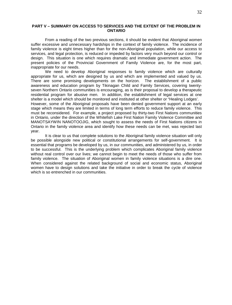#### **PART V – SUMMARY ON ACCESS TO SERVICES AND THE EXTENT OF THE PROBLEM IN ONTARIO**

From a reading of the two previous sections, it should be evident that Aboriginal women suffer excessive and unnecessary hardships in the context of family violence. The incidence of family violence is eight times higher than for the non-Aboriginal population, while our access to services, and legal protection, is reduced or impeded by factors very much beyond our control or design. This situation is one which requires dramatic and immediate government action. The present policies of the Provincial Government of Family Violence are, for the most part, inappropriate for our needs.

We need to develop Aboriginal responses to family violence which are culturally appropriate for us, which are designed by us and which are implemented and valued by us. There are some promising developments on the horizon. The establishment of a public awareness and education program by Tikinagan Child and Family Services, covering twentyseven Northern Ontario communities is encouraging, as is their proposal to develop a therapeutic residential program for abusive men. In addition, the establishment of legal services at one shelter is a model which should be monitored and instituted at other shelter or "Healing Lodges'. However, some of the Aboriginal proposals have been denied government support at an early stage which means they are limited in terms of long term efforts to reduce family violence. This must be reconsidered. For example, a project proposed by thirty-two First Nations communities in Ontario, under the direction of the Whitefish Lake First Nation Family Violence Committee and MANOTSAYWIN NANOTOOJIG, which sought to assess the needs of First Nations citizens in Ontario in the family violence area and identify how these needs can be met, was rejected last year.

It is clear to us that complete solutions to the Aboriginal family violence situation will only be possible alongside new political or constitutional arrangements for self-government. It is essential that programs be developed by us, in our communities, and administered by us, in order to be successful. This is the underlying problem which complicates Aboriginal family violence without real control over our lives; we cannot begin to meet the needs of those who suffer from family violence. The situation of Aboriginal women in family violence situations is a dire one. When considered against the related background of social and economic status, Aboriginal women have to design solutions and take the initiative in order to break the cycle of violence which is so entrenched in our communities.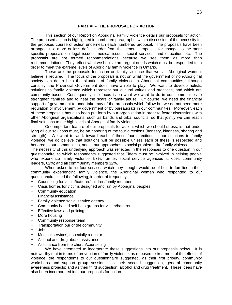#### **PART VI – THE PROPOSAL FOR ACTION**

This section of our Report on Aboriginal Family Violence details our proposals for action. The proposed action is highlighted in numbered paragraphs, with a discussion of the necessity for the proposed course of action underneath each numbered proposal. The proposals have been arranged in a more or less definite order from the general proposals for change, to the more specific proposals on legal issues, medical issues, social services, and education etc. The proposals are not termed recommendations because we see them as more than recommendations. They reflect what we believe are urgent needs which must be responded to in order to meet the extreme levels of Aboriginal family violence in Ontario.

These are the proposals for action on family violence that we, as Aboriginal women, believe is required. The focus of the proposals is not on what the government or non-Aboriginal society can do to help the situation of family violence in Aboriginal communities, although certainly, the Provincial Government does have a role to play. We want to develop holistic solutions to family violence which represent our cultural values and practices, and which are community based. Consequently, the focus is on what we want to do in our communities to strengthen families and to heal the scars of family abuse. Of course, we need the financial support of government to undertake may of the proposals which follow but we do not need more regulation or involvement by government or by bureaucrats in our communities. Moreover, each of these proposals has also been put forth by our organization in order to foster discussions with other Aboriginal organizations, such as bands and tribal councils, so that jointly we can reach final solutions to the high levels of Aboriginal family violence.

One important feature of our proposals for action, which we should stress, is that under lying all our solutions must, be an honoring of the four directions (honesty, kindness, sharing and strength). We want to work toward each of these four directions in our solutions to family violence; we do believe that solutions will be possible unless each of these is respected and honored in our communities, and in our approaches to social problems like family violence.

The necessity of this underlying approach was reflected in the responses to one question in our questionnaire, to which respondents suggested that Elders must be involved in helping people who experience family violence, 53%; further, social service agencies at 65%; community leaders, 62%; and all comm8unity members 32%.

When asked to list four services which they thought would be of help to families in their community experiencing family violence, the Aboriginal women who responded to our questionnaire listed the following, in order of frequency:

- Counseling for victim/batterer/children/family members
- Crisis homes for victims designed and run by Aboriginal peoples
- Community education
- Financial assistance
- Family violence social service agency
- Community based self help groups for victim/batterers
- Effective laws and policing
- More housing
- Community response team
- Transportation our of the community
- Jobs
- Medical services, especially a doctor
- Alcohol and drug abuse assistance
- Assistance from the church/counseling

We have attempted to incorporate these suggestions into our proposals below. It is noteworthy that in terms of prevention of family violence, as opposed to treatment of the effects of violence, the respondents to our questionnaire suggested, as their first priority, community workshops and support group sessions; as their second suggestion, general community awareness projects; and as their third suggestion, alcohol and drug treatment. These ideas have also been incorporated into our proposals for action.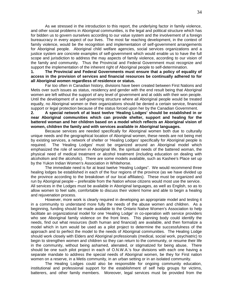As we stressed in the introduction to this report, the underlying factor in family violence, and other social problems in Aboriginal communities, is the legal and political structure which has for bidden us to govern ourselves according to our value system and the involvement of a foreign bureaucracy in every aspect of our lives. The most far reaching development, in the context of family violence, would be the recognition and implementation of self-government arrangements for Aboriginal people. Aboriginal child welfare agencies, social services organizations and a justice system are concrete examples of self-government which would enable us to have the full scope and jurisdiction to address the may aspects of family violence, according to our vision of the family and community. Thus the Provincial and Federal Government must recognize and support the implementation of the inherent right of Aboriginal people to self-determination.

#### **1. The Provincial and Federal Governments must ensure that a policy of equality of access in the provision of services and financial resources be continually adhered to for all Aboriginal women regardless of residence or status.**

Far too often in Canadian history, divisions have been created between First Nations and Metis over such issues as status, residency and gender with the end result being that Aboriginal women are left without the support of any level of government and at odds with their won people. Until the development of a self-governing structure where all Aboriginal people would be treated equally, no Aboriginal women or their organizations should be denied a certain service, financial support or legal protection because of the status forced upon her by the Canadian Government.

#### **2. A special network of at least twelve 'Healing Lodges' should be established in or near Aboriginal communities which can provide shelter, support and healing for the battered woman and her children based on a model which reflects an Aboriginal vision of women, children the family and with services available in Aboriginal languages.**

Because services are needed specifically for Aboriginal women both due to culturally unique needs and the geographical location of Aboriginal women, these needs are not being met by existing services, a network of shelter or 'Healing Lodges' specifically for Aboriginal people is required. The 'Healing Lodges' must be organized around an Aboriginal model which emphasized the role of women in Aboriginal life, the spiritual needs of the battered woman, the physical need of medical treatment or alcohol treatment (including education on dealing with alcoholism and the alcoholic). There are some models available, such as Kashee's Place set up by the Yukon Indian Women's Association in Whitehorse.

The immediate need is for at least twelve 'Healing Lodges". We would recommend three healing lodges be established in each of the four regions of the province (as we have divided up the province according to the breakdown of our local affiliates). These must be organized and run by Aboriginal people – preferable from the Nation whose citizens would most use the service. All services in the Lodges must be available in Aboriginal languages, as well as English, so as to allow women to feel safe, comfortable to discuss their violent home and able to begin a healing and rejuvenation process.

However, more work is clearly required in developing an appropriate model and testing it in a community to understand more fully the needs of the abuse women and children. As a beginning, funding should be made available to the Ontario Native Women's Association to help facilitate an organizational model for one 'Healing Lodge' in co-operation with service providers who see Aboriginal family violence on the front lines. This planning body could identify the needs, find out what resources (both human and financial) are available, and then formalize a model which in turn would be used as a pilot project to determine the successfulness of the approach and to perfect the model to the needs of Aboriginal communities. The Healing Lodge should work closely with Elders and Aboriginal professionals (medical, social work, psychiatric) to begin to strengthen women and children so they can return to the community, or resume their life in the community, without being ashamed, alienated, or stigmatized for being abuse, There should be one such pilot project in each of O.N.W.A.'s four divisions with each one having a separate mandate to address the special needs of Aboriginal women, be they for First nation women on a reserve, in a Metis community, in an urban setting or in an isolated community.

The Healing Lodges could also be responsible for ongoing community education, institutional and professional support for the establishment of self help groups for victims, batterers, and other family members. Moreover, legal services must be provided from the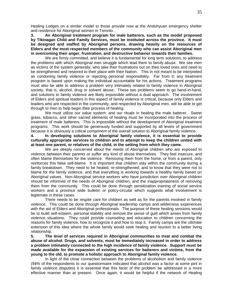Healing Lodges on a similar model to those provide now at the Anduhyuan emergency shelter and residence for Aboriginal women in Toronto.

**3. An Aboriginal treatment program for male batterers, such as the model proposed by Tikinagan Child and Family Services, must be instituted across the province. It must be designed and staffed by Aboriginal persons, drawing heavily on the resources of Elders and the most respected members of the community who can assist Aboriginal men in overcoming their anger, frustration, and destructive behavior towards their families.**

We are firmly committed, and believe it is fundamental for long term solutions, to address the problems with which Aboriginal men struggle which lead them to family abuse. We see men as victims of the system generally, who take their frustrations out on their loved ones and need to be strengthened and restored to their place with their Nation. This in not meant to be interpreted as condoning family violence or rejecting personal responsibility. Far from it; any treatment program is based upon making the individual accountable for his actions. Treatment programs must also be able to address a problem very intimately related to family violence in Aboriginal society, that is, alcohol, drug or solvent abuse. These two problems seem to go hand-in-hand, and solutions to family violence are likely impossible without a dual approach. The involvement of Elders and spiritual leaders in this aspect of family violence is critical, because only Elders and leaders who are respected in the community, and respected by Aboriginal men, will be able to get through to men to help begin their process of healing.

We must utilize our value system; and our rituals in healing the male batterer. Sweet grass, tobacco, and other sacred elements of healing must be incorporated into the process of treatment of male batterers. This is impossible without the development of Aboriginal treatment programs. This work should be generously funded and supported by all levels of government because it is obviously a critical component of the overall solution to Aboriginal family violence.

**4. In developing solutions to Aboriginal family violence, it is essential to provide culturally appropriate services to children and to attempt to keep the children united with at least one parent, or relatives of the child, in the setting from which they came.**

We are deeply concerned about the needs of Aboriginal children who are exposed to violence between their parents or suffer any kind of abuse themselves. They feel insecure, and often blame themselves for the violence. Removing them from the home, or from a parent, only reinforces this false self-blame. It is important that children stay within the community during a family breakdown. They need to be healed, re-strengthened, and to know that they were not to blame for the family violence, and that everything is working towards a healthy family based on Aboriginal values. Non-Aboriginal service workers who have jurisdiction over Aboriginal children should be informed of the needs of Aboriginal children, and the inappropriateness of removing them from the community. This could be done through sensitization training of social service workers and a province wide bulletin or policy-circular which suggests what involvement is legitimate in these cases.

There needs to be respite care for children as well as for the parents involved in family violence. This could be done through Aboriginal leadership camps and wilderness experiences with the aid of Elders and Aboriginal professionals. The purpose of these healing sessions would be to build self-esteem, personal stability and remove the sense of guilt which arises from family violence situations. They could provide counseling and education to children concerning the reasons for family violence, how to recognize it and how to stop it. Family camps are the ultimate extension of this idea where the whole family would seek healing and reunion to a better living relationship.

**5. The level of services required in Aboriginal communities to treat and combat the abuse of alcohol. Drugs, and solvents, must be immediately increased in order to address a problem intimately connected to the high incidence of family violence. Support must be made available for the expansion of existing services for batterers and victims, from the young to the old, to promote a holistic approach to Aboriginal family violence.**

In light of the close connection between the problems of alcoholism and family violence (94% of the respondents to our questionnaire indicated that alcohol was a factor at some pint in family violence disputes) it is essential that this facet of the problem be addressed in a more effective manner than at present. Once again, it would be helpful if the network of Healing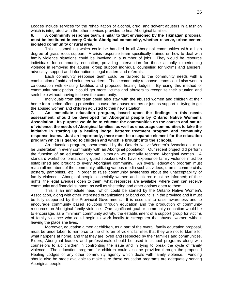Lodges include services for the rehabilitation of alcohol, drug, and solvent abusers in a fashion which is integrated with the other services provided to heal Aboriginal families.

#### **6. A community response team, similar to that envisioned by the Tikinagan proposal must be instituted in every Ontario Aboriginal community, whether reserve, urban center, isolated community or rural area.**

This is something which could be handled in all Aboriginal communities with a high degree of grass roots support. A crisis response team specifically trained on how to deal with family violence situations could be involved in a number of jobs. They would be resource individuals for community education, providing intervention for those actually experiencing violence in removing the abuser, group support individual counseling for victims and abusers, advocacy, support and information in legal matters and referrals.

Each community response team could be tailored to the community needs with a combination of paid and volunteer workers. These community response teams could also work in co-operation with existing facilities and proposed healing lodges. By using this method of community participation it could get more victims and abusers to recognize their situation and seek help without having to leave the community.

Individuals from this team could also stay with the abused women and children at their home for a period offering protection in case the abuser returns or just as support in trying to get the abused women and children adjusted to their new situation.

**7. An immediate education program, based upon the findings in this needs assessment, should be developed for Aboriginal people by Ontario Native Women's Association. Its purpose would be to educate the communities on the causes and nature of violence, the needs of Aboriginal families, as well as encourage communities to take the initiative in starting up a healing lodge, batterer treatment program and community response teams. Just an importantly, there must be a separate element for the education program which is geared to children and which is brought into the schools.**

An education program, spearheaded by the Ontario Native Women's Association, must be undertaken in every community with an Aboriginal population. Our recent project did perform the function of an education program, although we primarily reached Aboriginal women. A standard workshop format using guest speakers who have experience family violence must be established and brought to every Aboriginal community. An overall education program must reach all members of the community, utilizing various media such as videos, drams, commercials, posters, pamphlets, etc. in order to raise community awareness about the unacceptability of family violence. Aboriginal people, especially women and children must be informed; of their rights, the legal avenues open to them, what resources are available, where then can receive community and financial support, as well as sheltering and other options open to them.

This is an immediate need, which could be started by the Ontario Native Women's Association, along with other interested organizations or band councils in the province and it must be fully supported by the Provincial Government. It is essential to raise awareness and to encourage community based solutions through education and the production of community resources on Aboriginal family violence. One significant goal or community education would be to encourage, as a minimum community activity, the establishment of a support group for victims of family violence who could begin to work locally to strengthen the abused women without leaving the place she lives.

Moreover, education aimed at children, as a part of the overall family education proposal, must be undertaken to reinforce to the children of violent families that they are not to blame for what happens at home, and that they are loved and respected by their families and communities. Elders, Aboriginal leaders and professionals should be used in school programs along with counselors to aid children in confronting the issue and in tying to break the cycle of family violence. The education program for children could also be provided through the proposed Healing Lodges or any other community agency which deals with family violence. Funding should also be made available to make sure these education programs are adequately serving Aboriginal people.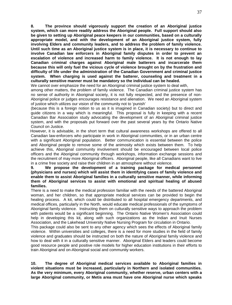**8. The province should vigorously support the creation of an Aboriginal justice system, which can more readily address the Aboriginal people. Full support should also be given to setting up Aboriginal peace keepers in our communities, based on a culturally appropriate model, and with the development of an Aboriginal justice system, fully involving Elders and community leaders, and to address the problem of family violence. Until such time as an Aboriginal justice system is in place, it is necessary to continue to involve Canadian law enforcers in Aboriginal family disputes in order to prevent an escalation of violence and increased harm to family violence. It is not enough to lay Canadian criminal charges against Aboriginal male batterers and incarcerate them because this will only fuel the vicious cycle of violence brought on by the frustration and difficulty of life under the administration of the Canadian Government and criminal justice system. When charging is used against the batterer, counseling and treatment in a culturally sensitive manner must be mandatory so the individual can be healed.**

We cannot over emphasize the need for an Aboriginal criminal justice system to deal with,

among other matters, the problem of family violence. The Canadian criminal justice system has no sense of authority in Aboriginal society, it is not fully respected, and the presence of non-Aboriginal police or judges encourages resistance and alienation. We need an Aboriginal system of justice which utilizes our vision of the community not to 'punish'

(because this is a foreign notion to us as it is imagined in Canadian society) but to direct and guide citizens in a way which is meaningful. This proposal is fully in keeping with a recent Canadian Bar Association study advocating the development of an Aboriginal criminal justice system, and with the proposals put forward over the past several years by the Ontario Native Council on Justice.

However, it is advisable, in the short term that cultural awareness workshops are offered to all Canadian law-enforcers who participate in work in Aboriginal communities, or in an urban centre with a significant Aboriginal population. Better communication is essential between the police and Aboriginal people to remove some of the animosity which exists between them. To help achieve this, Aboriginal community involvement should be encouraged between local police officers and the Aboriginal community through workshops, information exchange sessions and the recruitment of may more Aboriginal officers. Aboriginal people, like all Canadians want to live in a crime free society and raise their children in an atmosphere without violence.

**9. We propose the development of a training package for medical personnel (physicians and nurses) which will assist them in identifying cases of family violence and enable them to assist Aboriginal families in a culturally sensitive manner, while informing them of Aboriginal services to assist with emotional and spiritual healing of abused families.**

There is a need to make the medical profession familiar with the needs of the battered Aboriginal woman, and her children, so that appropriate medical services can be provided to begin the healing process. A kit, which could be distributed to all hospital emergency departments, and medical offices, particularly in the North, would educate medical professionals of the symptoms of Aboriginal family violence. Instructing them on culturally sensitive ways to approach the problem with patients would be a significant beginning. The Ontario Native Women's Association could help in developing this kit, along with such organizations as the Indian and Inuit Nurses Association, and the Lakehead University Native Nursing Program for circulation in Ontario.

This package could also be sent to any other agency which sees the effects of Aboriginal family violence. Within universities and colleges, there is a need for more studies in the field of family violence and graduates should be instructed on both the nature of Aboriginal family violence and how to deal with it in a culturally sensitive manner. Aboriginal Elders and leaders could become good resource people and positive role models for higher education institutions in their efforts to train Aboriginal and on-Aboriginal social and community workers.

**10. The degree of Aboriginal medical services available to Aboriginal families in violent situations must be increased, particularly in Northern and isolated communities. As the very minimum, every Aboriginal community, whether reserve, urban centers with a large Aboriginal community, or Metis area must have one Aboriginal nurse which speaks**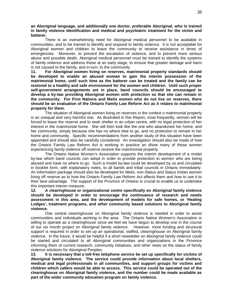#### **an Aboriginal language, and additionally one doctor, preferable Aboriginal, who is trained in family violence identification and medical and psychiatric treatment for the victim and batterer.**

There is an overwhelming need for Aboriginal medical personnel to be available in communities, and to be trained to identify and respond to family violence. It is not acceptable for Aboriginal women and children to leave the community to receive assistance in times of emergencies. Moreover, to prevent the escalation of violence, and to prevent more serious abuse and possible death, Aboriginal medical personnel must be trained to identify the systems of family violence and address these at an early stage, to ensure that greater damage and harm is not caused to the family, and in turn, to the community.<br>11. **For Aboriginal women living on reserves, ma** 

**11. For Aboriginal women living on reserves, matrimonial property standards should be developed to enable an abused woman to gain the interim possession of the matrimonial home, until such time as the batterer can be treated and the family can be restored to a healthy and safe environment for the women and children. Until such proper self-government arrangements are in place, band councils should be encouraged to develop a by-law providing Aboriginal women with protection so that she can remain in the community. For First Nations and Metis women who do not live on reserves, there should be an evaluation of the Ontario Family Law Reform Act as it relates to matrimonial property for them.**

The situation of Aboriginal women living on reserves in the context o matrimonial property is an unequal and very harmful one. As illustrated in this Report, most frequently, women will be forced to leave the reserve and to seek shelter in an urban centre, with no legal protection of her interest in the matrimonial home. She will then look like the one who abandoned her home, and her community, simply because she has no where else to go, and no protection to remain in her home and community. Specific recommendations from another study of this situation have been appended and should also be carefully considered. An investigation should also be made of how the Ontario Family Law Reform Act is working in practice an dhow many of those women experiencing family violence off reserve receive the matrimonial property.

The Ontario Native Women's Association supports the interim development of a model by-law which band councils can adopt in order to provide protection to women who are being abused and have no where to go. Such a model by-law could be developed by us and circulated in booklet form, with explanatory notes, to all bands and tribal councils in Ontario immediately. An information package should also be developed for Metis, non-Status and Status Indian women living off reserve as to how the Ontario Family Law Reform Act affects them and how to use it to their best advantage. The support of the Province of Ontario is crucial to enable us to undertake this important interim measure.

**12. A clearinghouse or organizational centre specifically on Aboriginal family violence should be developed in order to encourage the continuance of research and needs assessment in this area, and the development of models for safe homes, or 'Healing Lodges', treatment programs, and other community based solutions to Aboriginal family violence.**

One central clearinghouse on Aboriginal family violence is needed in order to assist communities and individuals working in the area. The Ontario Native Women's Association is willing to operate as a clearinghouse since we feel we have begun to develop one in the course of our six month project on Aboriginal family violence. However, more funding and structural support is required in order to set up an operational, staffed, clearinghouse on Aboriginal family violence. In the future, it would be helpful if a short newsletter on Aboriginal family violence could be started and circulated to all Aboriginal communities and organizations in the Province informing them of current research, community initiatives, and other news on the status of family violence solutions for Aboriginal Peoples.

**13. It is necessary that a toll-free telephone service be set up specifically for victims of Aboriginal family violence. The service could provide information about local shelters, medical and legal professionals in all communities, and support groups for victims and children which callers would be able to access. This service could be operated out of the clearinghouse on Aboriginal family violence, and the number could be made available as part of the wider community education program on family violence.**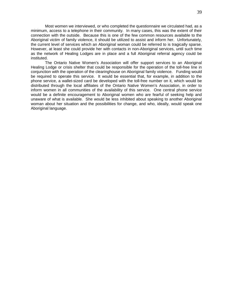Most women we interviewed, or who completed the questionnaire we circulated had, as a minimum, access to a telephone in their community. In many cases, this was the extent of their connection with the outside. Because this is one of the few common resources available to the Aboriginal victim of family violence, it should be utilized to assist and inform her. Unfortunately, the current level of services which an Aboriginal woman could be referred to is tragically sparse. However, at least she could provide her with contacts in non-Aboriginal services, until such time as the network of Healing Lodges are in place and a full Aboriginal referral agency could be instituted.

The Ontario Native Women's Association will offer support services to an Aboriginal Healing Lodge or crisis shelter that could be responsible for the operation of the toll-free line in conjunction with the operation of the clearinghouse on Aboriginal family violence. Funding would be required to operate this service. It would be essential that, for example, in addition to the phone service, a wallet-sized card be developed with the toll-free number on it, which would be distributed through the local affiliates of the Ontario Native Women's Association, in order to inform women in all communities of the availability of this service. One central phone service would be a definite encouragement to Aboriginal women who are fearful of seeking help and unaware of what is available. She would be less inhibited about speaking to another Aboriginal woman about her situation and the possibilities for change, and who, ideally, would speak one Aboriginal language.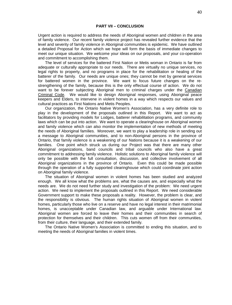#### **PART VII – CONCLUSION**

Urgent action is required to address the needs of Aboriginal women and children in the area of family violence. Our recent family violence project has revealed further evidence that the level and severity of family violence in Aboriginal communities is epidemic. We have outlined a detailed Proposal for Action which we hope will form the basis of immediate changes to meet our unique situation. We welcome your ideas on our proposals, and your co-operation and commitment to accomplishing them.

The level of services for the battered First Nation or Metis woman in Ontario is far from adequate or culturally appropriate to our needs. There are virtually no unique services, no legal rights to property, and no programs in place for the rehabilitation or healing of the batterer of the family. Our needs are unique ones; they cannot be met by general services for battered women in the province. We want to focus future changes on the restrengthening of the family, because this is the only effectual course of action. We do not want to be forever subjecting Aboriginal men to criminal charges under the Canadian Criminal Code. We would like to design Aboriginal responses, using Aboriginal peace keepers and Elders, to intervene in violent homes in a way which respects our values and cultural practices as First Nations and Metis Peoples.

Our organization, the Ontario Native Women's Association, has a very definite role to play in the development of the proposals outlined in this Report. We want to act as facilitators by providing models for Lodges, batterer rehabilitation programs, and community laws which can be put into action. We want to operate a clearinghouse on Aboriginal women and family violence which can also monitor the implementation of new methods of meeting the needs of Aboriginal families. Moreover, we want to play a leadership role in sending out a message to Aboriginal communities, and to non-Aboriginal persons in the province of Ontario, that family violence is a weakening of our Nations because it is a weakening of our families. One point which struck us during our Project was that there are many other Aboriginal organizations, band councils and tribal councils who also have a great commitment to addressing family violence. Holistic solutions to Aboriginal family violence will only be possible with the full consultation, discussion, and collective involvement of all Aboriginal organizations in the province of Ontario. Even this could be made possible through the operation of a fully supported clearinghouse which could coordinate joint action on Aboriginal family violence.

The situation of Aboriginal women in violent homes has been studied and analyzed enough. We all know what the problems are, what the causes are, and especially what the needs are. We do not need further study and investigation of the problem: We need urgent action. We need to implement the proposals outlined in this Report. We need considerable Government support to make these proposals a reality. However, the problem is clear, and the responsibility is obvious. The human rights situation of Aboriginal women in violent homes, particularly those who live on a reserve and have no legal interest in their matrimonial homes, is unacceptable under Canadian law, and arguable under International law. Aboriginal women are forced to leave their homes and their communities in search of protection for themselves and their children. This cuts women off from their communities, from their culture, their language, and their extended family.

The Ontario Native Women's Association is committed to ending this situation, and to meeting the needs of Aboriginal families in violent times.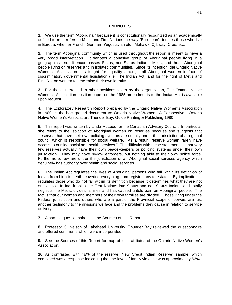#### **ENDNOTES**

**1.** We use the term "Aboriginal" because it is constitutionally recognized as an academically defined term; it refers to Metis and First Nations the way "European" denotes those who live in Europe, whether French, German, Yugoslavian etc., Mohawk, Ojibway, Cree, etc.

**2.** The term Aboriginal community which is used throughout the report is meant to have a very broad interpretation. It denotes a cohesive group of Aboriginal people living in a geographic area. It encompasses Status, non-Status Indians, Metis, and those Aboriginal people living on reserves and in isolated communities. Since its inception, the Ontario Native Women's Association has fought for equality amongst all Aboriginal women in face of discriminatory governmental legislation (i.e. The Indian Act) and for the right of Metis and First Nation women to determine their own identity.

**3.** For those interested in other positions taken by the organization, The Ontario Native Women's Association position paper on the 1985 amendments to the Indian Act is available upon request.

**4.** The Exploratory Research Report prepared by the Ontario Native Women's Association in 1980, is the background document to: Ontario Native Women…A Perspective. Ontario Native Women's Association, Thunder Bay: Guide Printing & Publishing 1980.

**5.** This report was written by Linda McLeod for the Canadian Advisory Council. In particular she refers to the isolation of Aboriginal women on reserves because she suggests that "reserves that have their own policing systems are usually under the jurisdiction of a regional council which is responsible for social welfare. As a result, reserve women rarely have access to outside social and health services." The difficulty with these statements is that very few reserves actually have their own peace-keepers or policing systems under their own jurisdiction. They may have by-law enforcers, but nothing akin to their own police force. Furthermore, few are under the jurisdiction of an Aboriginal social services agency which genuinely has authority over health and social services.

**6.** The Indian Act regulates the lives of Aboriginal persons who fall within its definition of Indian from birth to death, covering everything from registrations to estates. By implication, it regulates those who do not fall within its definition because it determines what they are not entitled to. In fact it splits the First Nations into Status and non-Status Indians and totally neglects the Metis, divides families and has caused untold pain on Aboriginal people. The fact is that our women and members of their own families are divided. Those living under the Federal jurisdiction and others who are a part of the Provincial scope of powers are just another testimony to the divisions we face and the problems they cause in relation to service delivery.

**7.** A sample questionnaire is in the Sources of this Report.

**8.** Professor C. Nelson of Lakehead University, Thunder Bay reviewed the questionnaire and offered comments which were incorporated.

**9.** See the Sources of this Report for map of local affiliates of the Ontario Native Women's Association.

**10.** As contrasted with 48% of the reserve (New Credit Indian Reserve) sample, which combined was a response indicating that the level of family violence was approximately 63%.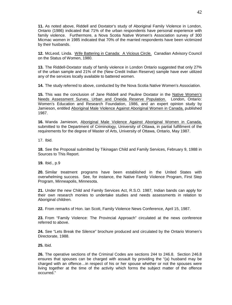**11.** As noted above, Riddell and Doxtator's study of Aboriginal Family Violence in London, Ontario (1986) indicated that 71% of the urban respondents have personal experience with family violence. Furthermore, a Nova Scotia Native Women's Association survey of 300 Micmac women in 1985 indicated that 70% of the married respondents have been victimized by their husbands.

**12.** McLeod, Linda. Wife Battering in Canada: A Vicious Circle. Canadian Advisory Council on the Status of Women, 1980.

**13.** The Riddell-Doxtator study of family violence in London Ontario suggested that only 27% of the urban sample and 21% of the (New Credit Indian Reserve) sample have ever utilized any of the services locally available to battered women.

**14.** The study referred to above, conducted by the Nova Scotia Native Women's Association.

**15.** This was the conclusion of Jane Riddell and Pauline Doxtator in the Native Women's Needs Assessment Survey, Urban and Oneida Reserve Population. London, Ontario: Women's Education and Research Foundation, 1986, and an expert opinion study by Jamieson, entitled Aboriginal Male Violence Against Aboriginal Women in Canada, published 1987.

**16.** Wanda Jamieson, Aboriginal Male Violence Against Aboriginal Women in Canada, submitted to the Department of Criminology, University of Ottawa, in partial fulfillment of the requirements for the degree of Master of Arts, University of Ottawa, Ontario, May 1987.

17. Ibid.

**18.** See the Proposal submitted by Tikinagan Child and Family Services, February 9, 1988 in Sources to This Report.

**19.** Ibid., p.9

**20.** Similar treatment programs have been established in the United States with overwhelming success. See, for instance, the Native Family Violence Program, First Step Program, Minneapolis, Minnesota.

**21.** Under the new Child and Family Services Act, R.S.O. 1987, Indian bands can apply for their own research monies to undertake studies and needs assessments in relation to Aboriginal children.

**22.** From remarks of Hon. Ian Scott, Family Violence News Conference, April 15, 1987.

**23.** From "Family Violence: The Provincial Approach" circulated at the news conference referred to above.

**24.** See "Lets Break the Silence" brochure produced and circulated by the Ontario Women's Directorate, 1988.

**25.** Ibid.

**26.** The operative sections of the Criminal Codes are sections 244 to 246.8. Section 246.8 ensures that spouses can be charged with assault by providing the "(a) husband may be charged with an offence…in respect of his or her spouse whether or not the spouses were living together at the time of the activity which forms the subject matter of the offence occurred."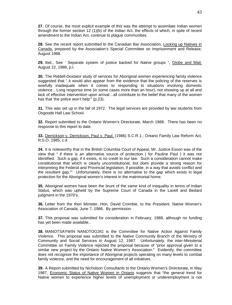**27.** Of course, the most explicit example of this was the attempt to assimilate Indian women through the former section 12 (1)(b) of the Indian Act, the effects of which, in spite of recent amendment to the Indian Act, continue to plague communities.

**28.** See the recent report submitted to the Canadian Bar Association, Locking up Natives in Canada, prepared by the Association's Special Committee on Imprisonment and Release, August 1988.

**29.** Ibid., See ' Separate system of justice backed for Native groups ", Globe and Mail, August 22, 1988, p.l.

**30.** The Riddell-Doxtator study of services for Aboriginal women experiencing family violence suggested that " it would also appear from the evidence that the policing of the reserves is woefully inadequate when it comes to responding to situations involving domestic violence…Long response time (in some cases more than an hour), not showing up at all and lack of effective intervention upon arrival…all contribute to the belief that many of the women has that 'the police won't help" (p.23).

**31.** This was set up in the fall of 1972. The legal services are provided by law students from Osgoode Hall Law School.

**32.** Report submitted to the Ontario Women's Directorate, March 1988. There has been no response to this report to date.

33. Derrickson v. Derrickson, Paul v. Paul, (1986) S.C.R.1.; Ontario Family Law Reform Act, R.S.O. 1985, c.4.

**34.** It is noteworthy that in the British Columbia Court of Appeal, Mr. Justice Esson was of the view that " if there is an alternative source of protection ( for Pauline Paul ) it was not identified. Such a gap, if it exists, is no credit to our law. Such a consideration cannot make constitutional that which is clearly unconstitutional, but does provide a strong reason for interpreting the Federal and Provincial legislation, if possible, in a way that avoids conflict and the resultant gap."" Unfortunately, there is no alternative to the gap which exists in legal protection for the Aboriginal women's interest in the matrimonial home.

**35.** Aboriginal women have been the brunt of the same kind of inequality in terms of Indian Status, which was upheld by the Supreme Court of Canada in the Lavell and Bedard judgment in the 1970's.

**36.** Letter from the then Minister, Hon. David Crombie, to the President, Native Women's Association of Canada, June 7, 1986. By permission.

**37.** This proposal was submitted for consideration in February, 1988, although no funding has yet been made available..

**38.** MANOTSAYWIN NANOTOOJIG is the Committee for Native Action Against Family Violence. This proposal was submitted to the Native Community Branch of the Ministry of Community and Social Services in August 12, 1987. Unfortunately, the inter-Ministerial Committee on Family Violence rejected the proposal because of "prior approval given to a similar new project by the Ontario Native Women's Association." Evidently, the committee does not recognize the importance of Aboriginal projects operating on many levels to combat family violence, and the need for encouragement of all initiatives.

**39.** A Report submitted by Nicholson Consultants to the Ontario Women's Directorate, in May 1987, Economic Status of Native Women in Ontario suggests that "the general trend for Native women to experience higher levels of unemployment or underemployment is not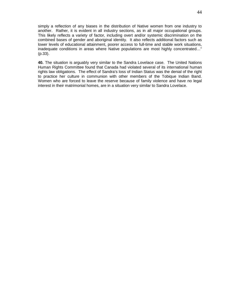simply a reflection of any biases in the distribution of Native women from one industry to another. Rather, it is evident in all industry sections, as in all major occupational groups. This likely reflects a variety of factor, including overt and/or systemic discrimination on the combined bases of gender and aboriginal identity. It also reflects additional factors such as lower levels of educational attainment, poorer access to full-time and stable work situations, inadequate conditions in areas where Native populations are most highly concentrated…" (p.33).

**40.** The situation is arguably very similar to the Sandra Lovelace case. The United Nations Human Rights Committee found that Canada had violated several of its international human rights law obligations. The effect of Sandra's loss of Indian Status was the denial of the right to practice her culture in communion with other members of the Tobique Indian Band. Women who are forced to leave the reserve because of family violence and have no legal interest in their matrimonial homes, are in a situation very similar to Sandra Lovelace.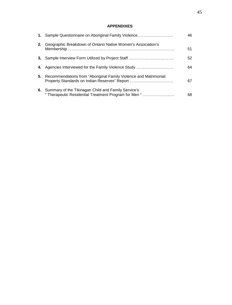# **APPENDIXES**

|    | 1. Sample Questionnaire on Aboriginal Family Violence                                                             | 46 |
|----|-------------------------------------------------------------------------------------------------------------------|----|
| 2. | Geographic Breakdown of Ontario Native Women's Association's                                                      | 51 |
| 3. | Sample Interview Form Utilized by Project Staff                                                                   | 52 |
| 4. | Agencies Interviewed for the Family Violence Study                                                                | 64 |
| 5. | Recommendations from "Aboriginal Family Violence and Matrimonial<br>Property Standards on Indian Reserves" Report | 67 |
|    | 6. Summary of the Tikinagan Child and Family Service's<br>"Therapeutic Residential Treatment Program for Men "    | 68 |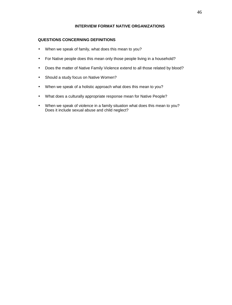## **INTERVIEW FORMAT NATIVE ORGANIZATIONS**

# **QUESTIONS CONCERNING DEFINITIONS**

- When we speak of family, what does this mean to you?
- For Native people does this mean only those people living in a household?
- Does the matter of Native Family Violence extend to all those related by blood?
- Should a study focus on Native Women?
- When we speak of a holistic approach what does this mean to you?
- What does a culturally appropriate response mean for Native People?
- When we speak of violence in a family situation what does this mean to you? Does it include sexual abuse and child neglect?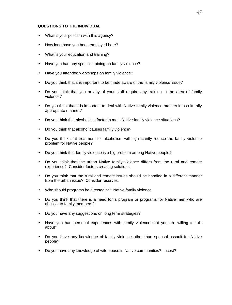#### **QUESTIONS TO THE INDIVIDUAL**

- What is your position with this agency?
- How long have you been employed here?
- What is your education and training?
- Have you had any specific training on family violence?
- Have you attended workshops on family violence?
- Do you think that it is important to be made aware of the family violence issue?
- Do you think that you or any of your staff require any training in the area of family violence?
- Do you think that it is important to deal with Native family violence matters in a culturally appropriate manner?
- Do you think that alcohol is a factor in most Native family violence situations?
- Do you think that alcohol causes family violence?
- Do you think that treatment for alcoholism will significantly reduce the family violence problem for Native people?
- Do you think that family violence is a big problem among Native people?
- Do you think that the urban Native family violence differs from the rural and remote experience? Consider factors creating solutions.
- Do you think that the rural and remote issues should be handled in a different manner from the urban issue? Consider reserves.
- Who should programs be directed at? Native family violence.
- Do you think that there is a need for a program or programs for Native men who are abusive to family members?
- Do you have any suggestions on long term strategies?
- Have you had personal experiences with family violence that you are willing to talk about?
- Do you have any knowledge of family violence other than spousal assault for Native people?
- Do you have any knowledge of wife abuse in Native communities? Incest?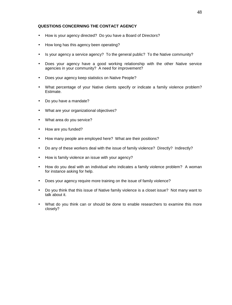## **QUESTIONS CONCERNING THE CONTACT AGENCY**

- How is your agency directed? Do you have a Board of Directors?
- How long has this agency been operating?
- Is your agency a service agency? To the general public? To the Native community?
- Does your agency have a good working relationship with the other Native service agencies in your community? A need for improvement?
- Does your agency keep statistics on Native People?
- What percentage of your Native clients specify or indicate a family violence problem? Estimate.
- Do you have a mandate?
- What are your organizational objectives?
- What area do you service?
- How are you funded?
- How many people are employed here? What are their positions?
- Do any of these workers deal with the issue of family violence? Directly? Indirectly?
- How is family violence an issue with your agency?
- How do you deal with an individual who indicates a family violence problem? A woman for instance asking for help.
- Does your agency require more training on the issue of family violence?
- Do you think that this issue of Native family violence is a closet issue? Not many want to talk about it.
- What do you think can or should be done to enable researchers to examine this more closely?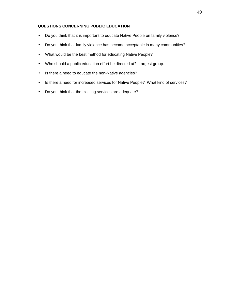## **QUESTIONS CONCERNING PUBLIC EDUCATION**

- Do you think that it is important to educate Native People on family violence?
- Do you think that family violence has become acceptable in many communities?
- What would be the best method for educating Native People?
- Who should a public education effort be directed at? Largest group.
- Is there a need to educate the non-Native agencies?
- Is there a need for increased services for Native People? What kind of services?
- Do you think that the existing services are adequate?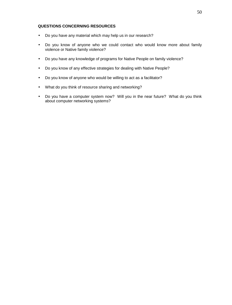## **QUESTIONS CONCERNING RESOURCES**

- Do you have any material which may help us in our research?
- Do you know of anyone who we could contact who would know more about family violence or Native family violence?
- Do you have any knowledge of programs for Native People on family violence?
- Do you know of any effective strategies for dealing with Native People?
- Do you know of anyone who would be willing to act as a facilitator?
- What do you think of resource sharing and networking?
- Do you have a computer system now? Will you in the near future? What do you think about computer networking systems?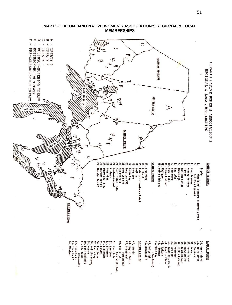

51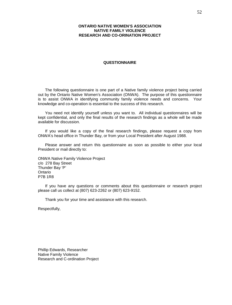#### **ONTARIO NATIVE WOMEN'S ASSOCIATION NATIVE FAMILY VIOLENCE RESEARCH AND CO-ORINATION PROJECT**

#### **QUESTIONNAIRE**

The following questionnaire is one part of a Native family violence project being carried out by the Ontario Native Women's Association (ONWA). The purpose of this questionnaire is to assist ONWA in identifying community family violence needs and concerns. Your knowledge and co-operation is essential to the success of this research.

You need not identify yourself unless you want to. All individual questionnaires will be kept confidential, and only the final results of the research findings as a whole will be made available for discussion.

If you would like a copy of the final research findings, please request a copy from ONWA's head office in Thunder Bay, or from your Local President after August 1988.

Please answer and return this questionnaire as soon as possible to either your local President or mail directly to:

ONWA Native Family Violence Project c/o 278 Bay Street Thunder Bay 'P' Ontario P7B 1R8

If you have any questions or comments about this questionnaire or research project please call us collect at (807) 623-2262 or (807) 623-9152.

Thank you for your time and assistance with this research.

Respectfully,

Phillip Edwards, Researcher Native Family Violence Research and C-ordination Project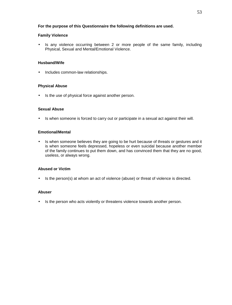## **For the purpose of this Questionnaire the following definitions are used.**

## **Family Violence**

• Is any violence occurring between 2 or more people of the same family, including Physical, Sexual and Mental/Emotional Violence.

## **Husband/Wife**

• Includes common-law relationships.

## **Physical Abuse**

 $\cdot$  Is the use of physical force against another person.

## **Sexual Abuse**

• Is when someone is forced to carry out or participate in a sexual act against their will.

## **Emotional/Mental**

• Is when someone believes they are going to be hurt because of threats or gestures and it is when someone feels depressed, hopeless or even suicidal because another member of the family continues to put them down, and has convinced them that they are no good, useless, or always wrong.

## **Abused or Victim**

Is the person(s) at whom an act of violence (abuse) or threat of violence is directed.

## **Abuser**

. Is the person who acts violently or threatens violence towards another person.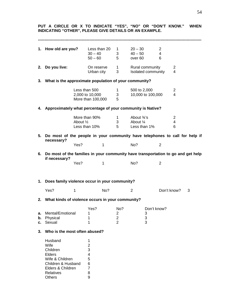**PUT A CIRCLE OR X TO INDICATE "YES", "NO" OR "DON'T KNOW." WHEN INDICATING "OTHER", PLEASE GIVE DETAILS OR AN EXAMPLE. ---------------------------------------------------------------------------------------------------------------------------- 1. How old are you?** Less than 20 1 20 – 30 2  $30 - 40$  3  $40 - 50$  4 50 – 60 5 over 60 6 **2. Do you live:** On reserve 1 Rural community 2 Urban city 3 Isolated community 4 **3. What is the approximate population of your community?** Less than 500 1 500 to 2,000 2<br>2,000 to 10,000 3 10,000 to 100,000 4 2,000 to 10,000 3 10,000 to 100,000 4 More than 100,000 5 **4. Approximately what percentage of your community is Native?** More than 90% 1 About  $\frac{3}{4}$ 's 2<br>About ½ 3 About ¼ 4 About  $\frac{1}{2}$  3 About  $\frac{1}{4}$  4<br>
Less than 10% 5 Less than 1% 6 Less than 10% 5 Less than 1% 6 **5. Do most of the people in your community have telephones to call for help if necessary?** Yes? 1 No? 2 **6. Do most of the families in your community have transportation to go and get help if necessary?** Yes? 1 No? 2 **1. Does family violence occur in your community?** Yes? 1 No? 2 Don't know? 3 **2. What kinds of violence occurs in your community?** Yes? No? Don't know? **a.** Mental/Emotional 1 1 2 3<br> **b.** Physical 1 2 3 **b.** Physical 1 2 3<br> **c.** Sexual 1 2 3 **c.** Sexual **3. Who is the most often abused?** Husband 1  $W$ ife  $\overline{2}$ Children 3 Elders 4<br>Wife & Children 5 Wife & Children Children & Husband 6 Elders & Children 7<br>Relatives 8 **Relatives** 

Others 9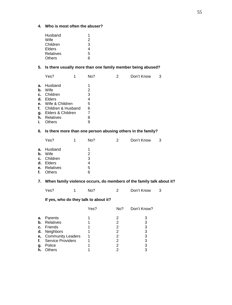#### **4. Who is most often the abuser?**

| Husband       |   |
|---------------|---|
| Wife          | 2 |
| Children      | 3 |
| Elders        | 4 |
| Relatives     | 5 |
| <b>Others</b> | 6 |

# **5. Is there usually more than one family member being abused?**

| а.<br>b.<br>c.<br>d.<br>g.<br>h.<br>i. | Husband<br>Wife<br>Children<br>Elders<br><b>e.</b> Wife & Children<br><b>f.</b> Children & Husband<br>Elders & Children<br><b>Relatives</b><br>Others | 1<br>2<br>3<br>4<br>5<br>6<br>7<br>8<br>9 |  |  |
|----------------------------------------|-------------------------------------------------------------------------------------------------------------------------------------------------------|-------------------------------------------|--|--|
|                                        |                                                                                                                                                       |                                           |  |  |

# **6. Is there more than one person abusing others in the family?**

|                | Yes?                                                                                | No?                        | 2 | Don't Know | 3 |
|----------------|-------------------------------------------------------------------------------------|----------------------------|---|------------|---|
| b.<br>c.<br>f. | <b>a.</b> Husband<br>Wife<br>Children<br>d. Elders<br>e. Relatives<br><b>Others</b> | 1<br>2<br>3<br>4<br>5<br>6 |   |            |   |
|                |                                                                                     |                            |   |            |   |

# **7. When family violence occurs, do members of the family talk about it?**

| Yes? | No? | Don't Know |  |
|------|-----|------------|--|
|      |     |            |  |

# **If yes, who do they talk to about it?**

|               |                          | Yes? | No? | Don't Know? |
|---------------|--------------------------|------|-----|-------------|
| а.            | Parents                  |      |     |             |
| $\mathbf b$ . | Relatives                |      |     | 3           |
|               | c. Friends               |      |     | 3           |
| d.            | Neighbors                |      |     | 3           |
|               | e, Community Leaders     |      |     | 3           |
| f.            | <b>Service Providers</b> |      | 2   | 3           |
| g.            | Police                   |      |     | 3           |
| h.            | <b>Others</b>            |      |     | 3           |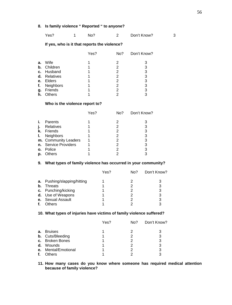# **8. Is family violence " Reported " to anyone?**

| Yes?<br>Don't Know?<br>No? |
|----------------------------|
|----------------------------|

## **If yes, who is it that reports the violence?**

|    |               | Yes? | No? | Don't Know? |
|----|---------------|------|-----|-------------|
|    |               |      |     |             |
| а. | Wife          |      | 2   | 3           |
| b. | Children      |      | 2   | 3           |
| c. | Husband       |      | 2   | 3           |
| d. | Relatives     |      | 2   | 3           |
| е. | Elders        |      | 2   | 3           |
| f. | Neighbors     |      | 2   | 3           |
| g. | Friends       |      | 2   | 3           |
| h. | <b>Others</b> |      | ◠   | 3           |

#### **Who is the violence report to?**

|    |                      | Yes? | No? | Don't Know? |
|----|----------------------|------|-----|-------------|
|    | Parents              |      |     |             |
|    | Relatives            |      |     | 3           |
| k. | Friends              |      |     | 3           |
| Ъ. | <b>Neighbors</b>     |      |     | 3           |
|    | m. Community Leaders |      |     | 3           |
|    | n. Service Providers |      |     | 3           |
| 0. | Police               |      |     | 3           |
| p. | <b>Others</b>        |      |     | 3           |

## **9. What types of family violence has occurred in your community?**

|    |                          | Yes? | No? | Don't Know? |
|----|--------------------------|------|-----|-------------|
| а. | Pushing/slapping/hitting |      |     |             |
| b. | <b>Threats</b>           |      |     | 3           |
|    | c. Punching/kicking      |      | 2   | 3           |
|    | d. Use of Weapons        |      |     | 3           |
|    | e. Sexual Assault        |      |     |             |
|    | Others                   |      |     | 2           |

## **10. What types of injuries have victims of family violence suffered?**

|         |                         | Yes? | No? | Don't Know? |
|---------|-------------------------|------|-----|-------------|
| а.      | <b>Bruises</b>          |      |     |             |
|         | <b>b.</b> Cuts/Bleeding |      | 2   | 3           |
|         | c. Broken Bones         |      |     | 3           |
| d.      | Wounds                  |      | 2   | 3           |
| $e_{i}$ | Mental/Emotional        |      |     | 3           |
|         | Others                  |      |     | ว           |

#### **11. How many cases do you know where someone has required medical attention because of family violence?**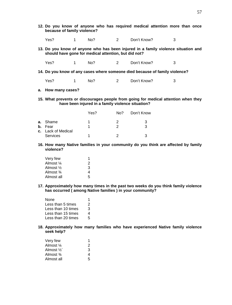- **12. Do you know of anyone who has required medical attention more than once because of family violence?**
	- Yes? 1 No? 2 Don't Know? 3
- **13. Do you know of anyone who has been injured in a family violence situation and should have gone for medical attention, but did not?**
	- Yes? 1 No? 2 Don't Know? 3
- **14. Do you know of any cases where someone died because of family violence?**
	- Yes? 1 No? 2 Don't Know? 3
- **a. How many cases?**
- **15. What prevents or discourages people from going for medical attention when they have been injured in a family violence situation?**

|                           | Yes? | No? | Don't Know |
|---------------------------|------|-----|------------|
| <b>a.</b> Shame           |      |     | ર          |
| b. Fear                   |      |     |            |
| <b>c.</b> Lack of Medical |      |     |            |
| <b>Services</b>           |      |     |            |

**16. How many Native families in your community do you think are affected by family violence?**

| Very few   |   |
|------------|---|
| Almost ¼   | 2 |
| Almost ½   | 3 |
| Almost ¾   | 4 |
| Almost all | 5 |

**17. Approximately how many times in the past two weeks do you think family violence has occurred ( among Native families ) in your community?**

| None               |    |
|--------------------|----|
| Less than 5 times  | 2  |
| Less than 10 times | 3  |
| Less than 15 times | 4  |
| Less than 20 times | 5. |

**18. Approximately how many families who have experienced Native family violence seek help?**

| Very few             |   |
|----------------------|---|
| Almost 1/4           | 2 |
| Almost $\frac{1}{2}$ | 3 |
| Almost 3⁄4           | 4 |
| Almost all           | 5 |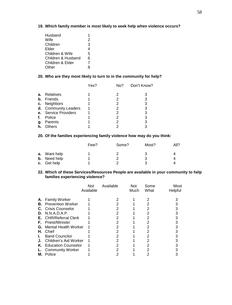## **19. Which family member is most likely to seek help when violence occurs?**

| Husband            |   |
|--------------------|---|
| Wife               | 2 |
| Children           | 3 |
| Elder              | 4 |
| Children & Wife    | 5 |
| Children & Husband | 6 |
| Children & Elder   |   |
| Other              |   |

#### **20. Who are they most likely to turn to in the community for help?**

| Don't Know? |
|-------------|
|             |
| 3           |
| 3           |
| 3           |
| 3           |
| 3           |
| 3           |
|             |
|             |

## **20. Of the families experiencing family violence how may do you think:**

|                                            | Few? | Some? | Most? | All? |
|--------------------------------------------|------|-------|-------|------|
| <b>a.</b> Want help<br><b>b.</b> Need help |      |       |       |      |
| c. Get help                                |      |       |       |      |

#### **22. Which of these Services/Resources People are available in your community to help families experiencing violence?**

|    |                             | Not<br>Available | Available | <b>Not</b><br>Much | Some<br>What | Most<br>Helpful |
|----|-----------------------------|------------------|-----------|--------------------|--------------|-----------------|
|    | <b>A.</b> Family Worker     |                  |           |                    | 2            |                 |
| В. | <b>Prevention Worker</b>    |                  | 2         |                    | 2            |                 |
| C. | <b>Crisis Counselor</b>     |                  |           |                    |              |                 |
| D. | N.N.A.D.A.P.                |                  |           |                    | 2            |                 |
| Е. | <b>CHR/Referral Clerk</b>   |                  | 2         |                    | 2            |                 |
| F. | Priest/Minister             |                  |           |                    |              |                 |
| G. | <b>Mental Health Worker</b> |                  |           |                    | 2            |                 |
| Н. | Chief                       |                  | 2         |                    | 2            |                 |
| L. | <b>Band Councilor</b>       |                  |           |                    | 2            |                 |
| J. | Children's Aid Worker       |                  |           |                    | 2            |                 |
| Κ. | <b>Education Counselor</b>  |                  | 2         |                    | 2            |                 |
|    | <b>Community Worker</b>     |                  |           |                    |              |                 |
| м. | Police                      |                  |           |                    |              |                 |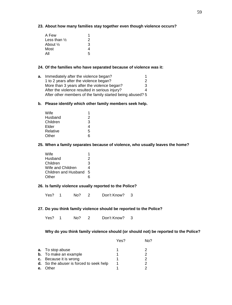## **23. About how many families stay together even though violence occurs?**

| A Few                   |   |
|-------------------------|---|
| Less than $\frac{1}{2}$ | 2 |
| About ½                 | 3 |
| Most                    |   |
| All                     | 5 |

#### **24. Of the families who have separated because of violence was it:**

| а. | Immediately after the violence began?                     |   |
|----|-----------------------------------------------------------|---|
|    | 1 to 2 years after the violence began?                    |   |
|    | More than 3 years after the violence began?               | 3 |
|    | After the violence resulted in serious injury?            |   |
|    | After other members of the family started being abused? 5 |   |

#### **b. Please identify which other family members seek help.**

| Wife     |   |
|----------|---|
| Husband  | 2 |
| Children | 3 |
| Elder    | 4 |
| Relative | 5 |
| Other    | 6 |

#### **25. When a family separates because of violence, who usually leaves the home?**

| Wife                 |   |
|----------------------|---|
| Husband              | 2 |
| Children             | 3 |
| Wife and Children    | 4 |
| Children and Husband | 5 |
| Other                | ี |

## **26. Is family violence usually reported to the Police?**

Yes? 1 No? 2 Don't Know? 3

## **27. Do you think family violence should be reported to the Police?**

Yes? 1 No? 2 Don't Know? 3

# **Why do you think family violence should (or should not) be reported to the Police?**

|    |                                                | Yes? | No? |
|----|------------------------------------------------|------|-----|
|    | <b>a.</b> To stop abuse                        |      |     |
|    | <b>b.</b> To make an example                   |      | 2   |
|    | c. Because it is wrong                         |      | 2   |
|    | <b>d.</b> So the abuser is forced to seek help |      | 2   |
| е. | <b>Other</b>                                   |      |     |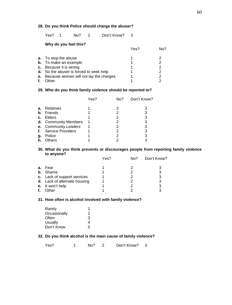## **28. Do you think Police should charge the abuser?**

Yes? 1 No? 2 Don't Know? 3

|    | Why do you feel this?                   |      |     |  |
|----|-----------------------------------------|------|-----|--|
|    |                                         | Yes? | No? |  |
|    | <b>a.</b> To stop the abuse             |      |     |  |
|    | <b>b.</b> To make an example            |      | 2   |  |
|    | c. Because it is wrong                  |      | 2   |  |
|    | d. So the abuser is forced to seek help |      | 2   |  |
| е. | Because women will not lay the charges  |      | 2   |  |
| f. | ıther                                   |      |     |  |
|    |                                         |      |     |  |

## **29. Who do you think family violence should be reported to?**

|    |                      | Yes? | No? | Don't Know? |
|----|----------------------|------|-----|-------------|
| a. | Relatives            |      |     |             |
|    | <b>b.</b> Friends    |      | 2   | 3           |
| c. | Elders               |      | 2   | 3           |
|    | d. Community Members |      |     | 3           |
|    | e. Community Leaders |      | 2   | 3           |
|    | f. Service Providers |      | 2   | 3           |
| g. | Police               |      | 2   | 3           |
| h. | Others               |      |     | 3           |
|    |                      |      |     |             |

#### **30. What do you think prevents or discourages people from reporting family violence to anyone?**

|    |                              | Yes? | No? | Don't Know? |
|----|------------------------------|------|-----|-------------|
| a. | Fear                         |      |     |             |
|    | <b>b.</b> Shame              |      |     | 3           |
|    | c. Lack of support services  |      | 2   | 3           |
|    | d. Lack of alternate housing |      |     | 3           |
|    | e. It won't help             |      |     | 3           |
| f. | Other                        |      |     | 2           |

#### **31. How often is alcohol involved with family violence?**

| Rarely       |   |
|--------------|---|
| Occasionally | 2 |
| Often        | 3 |
| Usually      | 4 |
| Don't Know   | 5 |
|              |   |

# **32. Do you think alcohol is the main cause of family violence?**

Yes? 1 No? 2 Don't Know? 3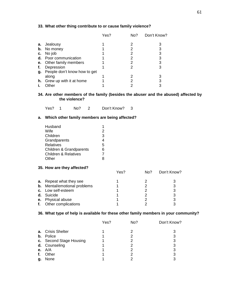## **33. What other thing contribute to or cause family violence?**

|    |                              | Yes? | No? | Don't Know? |
|----|------------------------------|------|-----|-------------|
| а. | Jealousy                     |      |     |             |
| b. | No money                     |      |     | 3           |
| с. | No job                       |      |     | 3           |
| d. | Poor communication           |      |     | 3           |
| е. | Other family members         |      |     | 3           |
|    | Depression                   |      |     | 3           |
| g. | People don't know how to get |      |     |             |
|    | along                        |      |     |             |
| h. | Grew up with it at home      |      |     | 3           |
|    | .<br>Other                   |      |     | 3           |

**34. Are other members of the family (besides the abuser and the abused) affected by the violence?**

Yes? 1 No? 2 Don't Know? 3

#### **a. Which other family members are being affected?**

| Husband                         |   |
|---------------------------------|---|
| Wife                            | 2 |
| Children                        | 3 |
| Grandparents                    | 4 |
| Relatives                       | 5 |
| Children & Grandparents         | 6 |
| <b>Children &amp; Relatives</b> | 7 |
| Other                           |   |

#### **35. How are they affected?**

|    |                                     | Yes? | No? | Don't Know? |
|----|-------------------------------------|------|-----|-------------|
|    | <b>a.</b> Repeat what they see      |      |     |             |
|    | <b>b.</b> Mental/emotional problems |      |     |             |
|    | c. Low self-esteem                  |      |     |             |
|    | d. Suicide                          |      |     |             |
|    | e. Physical abuse                   |      |     |             |
| f. | Other complications                 |      |     |             |

# **36. What type of help is available for these other family members in your community?**

|    |                          | Yes? | No? | Don't Know? |
|----|--------------------------|------|-----|-------------|
|    | <b>a.</b> Crisis Shelter |      |     |             |
|    | <b>b.</b> Police         |      |     |             |
|    | c. Second Stage Housing  |      |     |             |
|    | d. Counseling            |      |     |             |
|    | e. $A/A$                 |      |     |             |
| f. | Other                    |      |     |             |
| g. | None                     |      |     |             |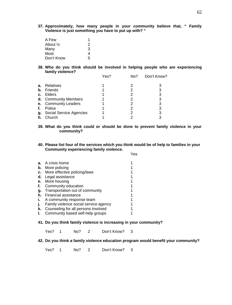**37. Approximately, how many people in your community believe that, " Family Violence is just something you have to put up with? "**

| A Few               |   |
|---------------------|---|
| About $\frac{1}{2}$ | 2 |
| Many                | 3 |
| Most                | 4 |
| Don't Know          | 5 |

**38. Who do you think should be involved in helping people who are experiencing family violence?**

|    |                         | Yes? | No? | Don't Know? |
|----|-------------------------|------|-----|-------------|
| а. | Relatives               |      |     |             |
| b. | Friends                 |      |     | 3           |
| C. | Elders                  |      |     | 3           |
|    | d. Community Members    |      |     | 3           |
|    | e. Community Leaders    |      |     | 3           |
| f. | Police                  |      |     |             |
| g. | Social Service Agencies |      |     | 3           |
| h. | Church                  |      |     |             |

- **39. What do you think could or should be done to prevent family violence in your community?**
- **40. Please list four of the services which you think would be of help to families in your Community experiencing family violence.**

|    |                                       | es |
|----|---------------------------------------|----|
|    | <b>a.</b> A crisis home               |    |
| b. | More policing                         |    |
| c. | More effective policing/laws          |    |
| d. | Legal assistance                      |    |
|    | e. More housing                       |    |
| f. | Community education                   |    |
| g. | Transportation out of community       |    |
| h. | Financial assistance                  |    |
| т. | A community response team             |    |
| j. | Family violence social service agency |    |
| k. | Counseling for all persons involved   |    |
|    | Community based self-help groups      |    |

**41. Do you think family violence is increasing in your community?**

Yes? 1 No? 2 Don't Know? 3

**42. Do you think a family violence education program would benefit your community?**

Yes? 1 No? 2 Don't Know? 3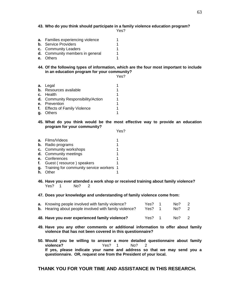#### **43. Who do you think should participate in a family violence education program?**

Yes?

**a.** Families experiencing violence 1 **b.** Service Providers 1<br> **c.** Community Leaders 1 **c.** Community Leaders **d.** Community members in general 1 **e.** Others 1

**44. Of the following types of information, which are the four most important to include in an education program for your community?**

Yes?

- **a.** Legal 1 **b.** Resources available **c.** Health 1<br>**d.** Community Responsibility/Action 1 **d.** Community Responsibility/Action **e.** Prevention 1<br>**f.** Effects of Family Violence 1 **f.** Effects of Family Violence **g.** Others 1
- **45. What do you think would be the most effective way to provide an education program for your community?**

Yes?

- **a.** Films/Videos 1 **b.** Radio programs 1 **c.** Community workshops **1 d.** Community meetings 1 **e.** Conferences 1<br>**f.** Guest (resource) speakers 1 **f.** Guest (resource) speakers **g.** Training for community service workers 1 **h.** Other 1
- **46. Have you ever attended a work shop or received training about family violence?** Yes? 1 No? 2
- **47. Does your knowledge and understanding of family violence come from:**

|   | <b>a.</b> Knowing people involved with family violence?<br><b>b.</b> Hearing about people involved with family violence? |  |  | Yes? 1<br>Yes? 1 | No?<br>No? 2 | - 2    |
|---|--------------------------------------------------------------------------------------------------------------------------|--|--|------------------|--------------|--------|
| . |                                                                                                                          |  |  |                  |              | $\sim$ |

- **48. Have you ever experienced family violence?** Yes? 1 No? 2
- **49. Have you any other comments or additional information to offer about family violence that has not been covered in this questionnaire?**
- **50. Would you be willing to answer a more detailed questionnaire about family violence?** Yes? 1 No? 2 **If yes, please indicate your name and address so that we may send you a questionnaire. OR, request one from the President of your local.**

**THANK YOU FOR YOUR TIME AND ASSISTANCE IN THIS RESEARCH.**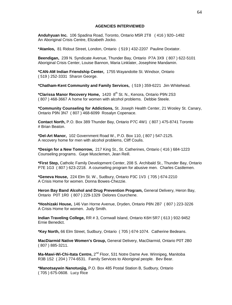#### **AGENCIES INTERVIEWED**

**Anduhyuan Inc.** 106 Spadina Road, Toronto, Ontario M5R 2T8 ( 416 ) 920–1492 An Aboriginal Crisis Centre, Elizabeth Jocko.

**\*Atanlos,** 81 Ridout Street, London, Ontario ( 519 ) 432-2207 Pauline Doxtator.

**Beendigan,** 239 N. Syndicate Avenue, Thunder Bay, Ontario P7A 3X9 ( 807 ) 622-5101 Aboriginal Crisis Center, Louise Bannon, Maria Linklater, Josephine Mandamin.

**\*CAN-AM Indian Friendship Center,** 1755 Wayandotte St. Windsor, Ontario ( 519 ) 252-3331 Sharon George.

**\*Chatham-Kent Community and Family Services,** ( 519 ) 359-6221 Jim Whitehead.

\*Clarissa Manor Recovery Home, 1420 8<sup>th</sup> St. N., Kenora, Ontario P9N 2S3 ( 807 ) 468-3667 A home for women with alcohol problems. Debbie Steele.

**\*Community Counseling for Addictions,** St. Joseph Health Center, 21 Wosley St. Canary, Ontario P9N 3N7 ( 807 ) 468-6099 Rosalyn Copenace.

**Contact North,** P.O. Box 389 Thunder Bay, Ontario P7C 4W1 ( 807 ) 475-8741 Toronto # Brian Beaton.

**\*Del-Art Manor,** 102 Government Road W., P.O. Box 110, ( 807 ) 547-2125. A recovery home for men with alcohol problems, Cliff Coulis.

**\*Design for a New Tomorrow,** 217 King St., St. Catherines, Ontario ( 416 ) 684-1223 Counseling programs. Gaye Musclemen, Jean Reill.

**\*First Step,** Catholic Family Development Center, 208 S. Archibald St., Thunder Bay, Ontario P7E 1G3 ( 807 ) 623-2218. A counseling program for abusive men. Charles Castlemen.

**\*Geneva House,** 224 Elm St. W., Sudbury, Ontario P3C 1V3 ( 705 ) 674-2210 A Crisis Home for women. Donna Bowes-Chezzie.

**Heron Bay Band Alcohol and Drug Prevention Program,** General Delivery, Heron Bay, Ontario P0T 1R0 ( 807 ) 229-1329 Delores Courchene.

**\*Hoshizaki House,** 146 Van Horne Avenue, Dryden, Ontario P8N 2B7 ( 807 ) 223-3226 A Crisis Home for women. Judy Smith.

**Indian Traveling College,** RR # 3, Cornwall Island, Ontario K6H 5R7 ( 613 ) 932-9452 Ernie Benedict.

**\*Key North,** 66 Elm Street, Sudbury, Ontario ( 705 ) 674-1074. Catherine Bedeans.

**MacDiarmid Native Women's Group,** General Delivery, MacDiarmid, Ontario P0T 2B0 ( 807 ) 885-3211.

**Ma-Mawi-Wi-Chi-Itata Centre,** 2<sup>nd</sup> Floor, 531 Notre Dame Ave. Winnipeg, Manitoba R3B 1S2 ( 204 ) 774-6531. Family Services to Aboriginal people. Bev Bear.

**\*Manotsaywin Nanotuojig,** P.O. Box 485 Postal Station B, Sudbury, Ontario ( 705 ) 675-0608. Lucy Rice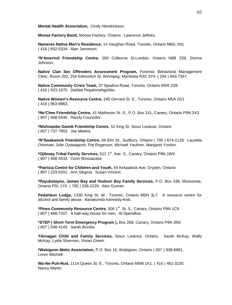**Mental Health Association,** Cindy Hendrickson.

**Moose Factory Band,** Moose Factory, Ontario. Lawrence Jeffries.

**Nameres Native Men's Residence,** 14 Vaughan Road, Toronto, Ontario M6G 2N1 ( 416 ) 652-0334. Alan Jamieson.

**\*N'Amerind Friendship Centre,** 260 Colborne St.London, Ontario N6B 2S6. Donna Johnson.

**Native Clan Sex Offenders Assessment Program,** Forensic Behavioral Management Clinic, Room 202, 254 Edmonton St. Winnipeg, Manitoba R3C 3Y4 ( 204 ) 943-7357.

**Native Community Crisis Team,** 37 Spadina Road, Toronto, Ontario M5R 2S9 ( 416 ) 923-1670. Debbie Pegahmahgohbo.

**Native Women's Resource Centre,** 245 Gerrard St. E., Toronto, Ontario M5A 2G1 ( 416 ) 963-9963.

**\*Ne'Chee Friendship Centre,** 41 Matheson St. S., P.O. Box 241, Canary, Ontario P9N 3X3 ( 807 ) 468-5440. Randy Councillor.

**\*Nishnawbe Gamik Friendship Centre,** 52 King St. Sioux Lookout, Ontario ( 807 ) 737-7903. Joe Meekis.

**\*N'Swakamok Friendship Centre,** 66 Elm St., Sudbury, Ontario ( 705 ) 674-2128. Lauretta Orkimaw, Julie Ozawagosh, Pat Rogerson, Michael Yautheir, Margaret Yordon.

**\*Ojibway Tribal Family Services,** 512 1st. Ave. S., Canary, Ontario P9N 1W5 ( 807 ) 468-4533. Conn Wossacase.

**\*Patricia Centre for Children and Youth,** 54 Kirkpatrick Ave. Dryden, Ontario ( 807 ) 223-5201. Ann Sikgma. Susan Vincent.

**\*Payukotayno, James Bay and Hudson Bay Family Services,** P.O. Box 336, Moosonee, Ontario P0L 1Y0 ( 705 ) 336-2229. Alex Gunner.

**Pedahbun Lodge,** 1330 King St. W., Toronto, Ontario M5H 3L7. A resource centre for alcohol and family abuse. Banakonda Kennedy-Kisk.

\*Pines Community Resource Centre, 506 1<sup>st</sup>. St. S., Canary, Ontario P9N 1C9 ( 807 ) 468-7207. A half-way house for men. Al Spendlow.

**\*STEP ( Short Term Emergency Program ),** Box 268, Canary, Ontario P9N 3N3 ( 807 ) 548-4143. Sarah Borsfia.

**Tikinagan Child and Family Services,** Sioux Lookout, Ontario. Sarah McKay, Wally McKay, Lydia Shermen, Vivian Green.

**\*Wabigoon Metis Association,** P.O. Box 16, Wabigoon, Ontario ( 807 ) 938-6981. Loren Mitchell.

**Wa-Ne-Puh-Nud,** 1114 Queen St. E., Toronto, Ontario M5M 1K1. ( 416 ) 461-3230. Nancy Martin.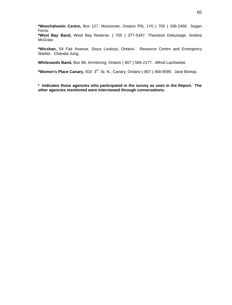**\*Weechahewin Centre,** Box 127, Moosonee, Ontario P0L 1Y0 ( 705 ) 336-2456 Segan Ferris.

**\*West Bay Band,** West Bay Reserve. ( 705 ) 377-5347. Theodore Debussige, Andrea McGraw.

**\*Wicshan,** 54 Fair Avenue, Sioux Lookout, Ontario. Resource Centre and Emergency Shelter. Chandia Jung.

**Whitesands Band,** Box 68, Armstrong, Ontario ( 807 ) 584-2177. Alfred Lachiwette.

**\*Women's Place Canary,** 503 3rd. St. N., Canary, Ontario ( 807 ) 468-9095. Jane Bishop.

**\* Indicates those agencies who participated in the survey as seen in the Report. The other agencies mentioned were interviewed through conversations.**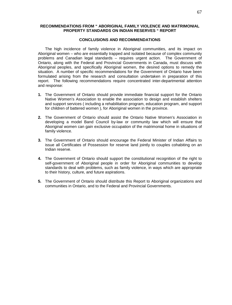#### **RECOMMENDATIONS FROM " ABORIGINAL FAMILY VIOLENCE AND MATRIMONIAL PROPERTY STANDARDS ON INDIAN RESERVES " REPORT**

#### **CONCLUSIONS AND RECOMMENDATIONS**

The high incidence of family violence in Aboriginal communities, and its impact on Aboriginal women – who are essentially trapped and isolated because of complex community problems and Canadian legal standards – requires urgent action. The Government of Ontario, along with the Federal and Provincial Governments in Canada, must discuss with Aboriginal peoples, and specifically Aboriginal women, the desired options to remedy the situation. A number of specific recommendations for the Government of Ontario have been formulated arising from the research and consultation undertaken in preparation of this report. The following recommendations require concentrated inter-departmental attention and response:

- **1.** The Government of Ontario should provide immediate financial support for the Ontario Native Women's Association to enable the association to design and establish shelters and support services ( including a rehabilitation program, education program, and support for children of battered women ), for Aboriginal women in the province.
- **2.** The Government of Ontario should assist the Ontario Native Women's Association in developing a model Band Council by-law or community law which will ensure that Aboriginal women can gain exclusive occupation of the matrimonial home in situations of family violence.
- **3.** The Government of Ontario should encourage the Federal Minister of Indian Affairs to issue all Certificates of Possession for reserve land jointly to couples cohabiting on an Indian reserve.
- **4.** The Government of Ontario should support the constitutional recognition of the right to self-government of Aboriginal people in order for Aboriginal communities to develop standards to deal with problems, such as family violence, in ways which are appropriate to their history, culture, and future aspirations.
- **5.** The Government of Ontario should distribute this Report to Aboriginal organizations and communities in Ontario, and to the Federal and Provincial Governments.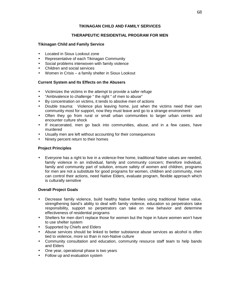# **TIKINAGAN CHILD AND FAMILY SERVICES**

# **THERAPEUTIC RESIDENTIAL PROGRAM FOR MEN**

### **Tikinagan Child and Family Service**

- Located in Sioux Lookout zone
- Representative of each Tikinagan Community
- Social problems interwoven with family violence
- Children and social services
- Women in Crisis a family shelter in Sioux Lookout

# **Current System and Its Effects on the Abusers**

- Victimizes the victims in the attempt to provide a safer refuge
- "Ambivalence to challenge " the right " of men to abuse"
- By concentration on victims, it tends to absolve men of actions
- Double trauma: Violence plus leaving home, just when the victims need their own community most for support, now they must leave and go to a strange environment
- Often they go from rural or small urban communities to larger urban centes and encounter culture shock
- If incarcerated, men go back into communities, abuse, and in a few cases, have murdered
- Usually men are left without accounting for their consequences
- Ninety percent return to their homes

# **Project Principles**

 Everyone has a right to live in a violence-free home, traditional Native values are needed, family violence in an individual, family and community concern; therefore individual, family and community part of solution, ensure safety of women and children, programs for men are not a substitute for good programs for women, children and community, men can control their actions, need Native Elders, evaluate program, flexible approach which is culturally sensitive

### **Overall Project Goals**

- Decrease family violence, build healthy Native families using traditional Native value, strengthening band's ability to deal with family violence, education so perpetrators take responsibility, support so perpetrators can take on new behavior and determine effectiveness of residential programs
- Shelters for men don't replace those for women but the hope in future women won't have to use shelter system
- Supported by Chiefs and Elders
- Abuse services should be linked to better substance abuse services as alcohol is often tied to violence, more so than in non-Native culture
- Community consultation and education, community resource staff team to help bands and Elders
- One year, operational phase is two years
- Follow up and evaluation system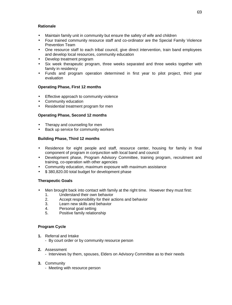# **Rationale**

- Maintain family unit in community but ensure the safety of wife and children
- Four trained community resource staff and co-ordinator are the Special Family Violence Prevention Team
- One resource staff to each tribal council, give direct intervention, train band employees and develop local resources, community education
- Develop treatment program
- Six week therapeutic program, three weeks separated and three weeks together with family in residency
- Funds and program operation determined in first year to pilot project, third year evaluation

# **Operating Phase, First 12 months**

- Effective approach to community violence
- Community education
- Residential treatment program for men

### **Operating Phase, Second 12 months**

- Therapy and counseling for men
- Back up service for community workers

### **Building Phase, Third 12 months**

- Residence for eight people and staff, resource center, housing for family in final component of program in conjunction with local band and council
- Development phase, Program Advisory Committee, training program, recruitment and training, co-operation with other agencies
- Community education, maximum exposure with maximum assistance
- \$380,820,00 total budget for development phase

### **Therapeutic Goals**

- Men brought back into contact with family at the right time. However they must first:
	- 1. Understand their own behavior<br>2. Accept responsibility for their a
	- Accept responsibility for their actions and behavior
	- 3. Learn new skills and behavior
	- 4. Personal goal setting
	- 5. Positive family relationship

### **Program Cycle**

- **1.** Referral and Intake
	- By court order or by community resource person
- **2.** Assessment
	- Interviews by them, spouses, Elders on Advisory Committee as to their needs
- **3.** Community
	- Meeting with resource person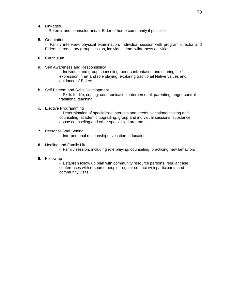- **4.** Linkages
	- Referral and counselor and/or Elder of home community if possible
- **5.** Orientation

- Family interview, physical examination, individual session with program director and Elders, introductory group session, individual time, wilderness activities

- **6.** Curriculum
- a. Self Awareness and Responsibility

- Individual and group counseling, peer confrontation and sharing, selfexpression in art and role playing, exploring traditional Native values and guidance of Elders

- b. Self Esteem and Skills Development - Skills for life, coping, communication, interpersonal, parenting, anger control, traditional teaching
- c. Elective Programming

- Determination of specialized interests and needs, vocational testing and counseling, academic upgrading, group and individual sessions, substance abuse counseling and other specialized programs

- **7.** Personal Goal Setting
	- Interpersonal relationships, vocation, education
- **8.** Healing and Family Life
	- Family session, including role playing, counseling, practicing new behaviors
- **9.** Follow up

- Establish follow up plan with community resource persons, regular case conferences with resource people, regular contact with participants and community visits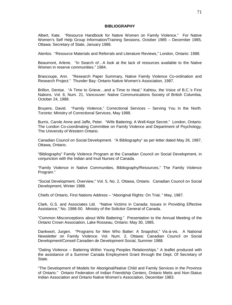#### **BIBLIOGRAPHY**

Albert, Kate. "Resource Handbook for Native Women on Family Violence." For Native Women's Self Help Group Information/Training Sessions, October 1985 – December 1985, Ottawa: Secretary of State, January 1986.

Atenlos. "Resource Materials and Referrals and Literature Reviews," London, Ontario: 1988.

Beaumont, Arlene. "In Search of…A look at the lack of resources available to the Native Women in reserve communities." 1984.

Brascoupe, Ann. "Research Paper Summary, Native Family Violence Co-ordination and Research Project." Thunder Bay: Ontario Native Women's Association, 1987.

Brillon, Denise. "A Time to Grieve…and a Time to Heal," Kahtou, the Voice of B.C.'s First Nations. Vol. 6, Num. 21, Vancouver: Native Communications Society of British Columbia, October 24, 1988.

Bruyere, David. "Family Violence," Correctional Services – Serving You in the North. Toronto: Ministry of Correctional Services, May 1988.

Burris, Carole Anne and Jaffe, Peter. "Wife Battering: A Well-Kept Secret." London, Ontario: The London Co-coordinating Committee on Family Violence and Department of Psychology, The University of Western Ontario.

Canadian Council on Social Development. "A Bibliography" as per letter dated May 26, 1987, Ottawa, Ontario.

"Bibliography" Family Violence Program at the Canadian Council on Social Development, in conjunction with the Indian and Inuit Nurses of Canada.

"Family Violence in Native Communities, Bibliography/Resources," The Family Violence Program."

"Social Development, Overview," Vol. 5, No. 2, Ottawa, Ontario. Canadian Council on Social Development, Winter 1988.

Chiefs of Ontario, First Nations Address – "Aboriginal Rights: On Trial, " May, 1987.

Clark, G.S. and Associates Ltd. "Native Victims in Canada: Issues in Providing Effective Assistance," No. 1986-50. Ministry of the Solicitor General of Canada.

"Common Misconceptions about Wife Battering." Presentation to the Annual Meeting of the Ontario Crown Association, Lake Rosseau, Ontario: May 30, 1985.

Dankwort, Jurgen. "Programs for Men Who Batter: A Snapshot," Vis-à-vis. A National Newsletter on Family Violence. Vol. Num. 2, Ottawa: Canadian Council on Social Development/Conseil Canadien de Development Social, Summer 1988.

"Dating Violence – Battering Within Young Peoples Relationships." A leaflet produced with the assistance of a Summer Canada Employment Grant through the Dept. Of Secretary of **State** 

"The Development of Models for Aboriginal/Native Child and Family Services in the Province of Ontario." Ontario Federation of Indian Friendship Centers, Ontario Metis and Non-Status Indian Association and Ontario Native Women's Association, December 1983.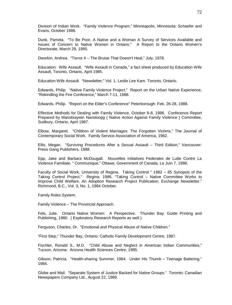Division of Indian Work. "Family Violence Program," Minneapolis, Minnesota: Schaefer and Evans, October 1986.

Dunk, Pamela. "To Be Poor, A Native and a Woman A Survey of Services Available and Issues of Concern to Native Women in Ontario." A Report to the Ontario Women's Directorate, March 29, 1985.

Dworkin, Andrea. "Terror II – The Bruise That Doesn't Heal," July, 1978.

Education: Wife Assault. "Wife Assault in Canada," a fact sheet produced by Education Wife Assault, Toronto, Ontario, April 1985.

Education Wife Assault. "Newsletter," Vol. 1. Leslie Lee Kam. Toronto, Ontario.

Edwards, Philip. "Native Family Violence Project." Report on the Urban Native Experience, "Rekindling the Fire Conference," March 7-11, 1988.

Edwards, Philip. "Report on the Elder's Conference" Peterborough: Feb. 26-28, 1988.

Effective Methods for Dealing with Family Violence, October 6-8, 1986. Conference Report Prepared by Manotsaywin Nanotoojig ( Native Action Against Family Violence ) Committee, Sudbury, Ontario, April 1987.

Elbow, Margaret. "Children of Violent Marriages: The Forgotten Victims," The Journal of Contemporary Social Work. Family Service Association of America, 1982.

Ellis, Megan. "Surviving Procedures After a Sexual Assault – Third Edition," Vancouver: Press Gang Publishers, 1988.

Epp, Jake and Barbara McDougall. Nouvelles Initiatives Federales de Lutte Contre La Violence Familiale, " Communique," Ottawa: Government of Canada, Le Juin 7, 1988.

Faculty of Social Work, University of Regina. Taking Control " 1982 – 85 Synopsis of the Taking Control Project." Regina: 1986. "Taking Control – Native Committee Works to Improve Child Welfare, An Adoption Research Project Publication, Exchange Newsletter." Richmond, B.C., Vol. 3, No. 1, 1984 October.

Family Roles System.

Family Violence – The Provincial Approach.

Fels, Julie. Ontario Native Women: A Perspective. Thunder Bay: Guide Printing and Publishing, 1980. ( Exploratory Research Reports as well ).

Ferguson, Charles, Dr. "Emotional and Physical Abuse of Native Children."

"First Step," Thunder Bay, Ontario: Catholic Family Development Centre, 1987.

Fischler, Ronald S., M.D. "Child Abuse and Neglect in American Indian Communities," Tucson, Arizona: Arizona Health Sciences Centre, 1985.

Gibson, Patricia. "Health-sharing Summer, 1984. Under His Thumb – Teenage Battering." 1984.

Globe and Mail. "Separate System of Justice Backed for Native Groups." Toronto: Canadian Newspapers Company Ltd., August 22, 1989.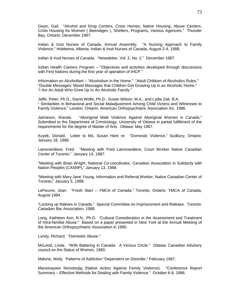Gwyn, Gail. "Alcohol and Drug Centers, Crisis Homes, Native Housing, Abuse Centers, Crisis Housing for Women ( Beendigen ), Shelters, Programs, Various Agencies." Thunder Bay, Ontario: December 1987.

Indian & Inuit Nurses of Canada, Annual Assembly. "A Nursing Approach to Family Violence," Hobbema, Alberta: Indian & Inuit Nurses of Canada, August 2-4, 1988.

Indian & Inuit Nurses of Canada. "Newsletter, Vol. 2, No. 2." December 1987.

Indian Health Careers Program – "Objectives and activities developed through discussions with First Nations during the first year of operation of IHCP."

Information on Alcoholism – "Alcoholism in the Home." "Adult Children of Alcoholics Rules." "Double Messages: Mixed Messages that Children Get Growing Up in an Alcoholic Home." "I Am An Adult Who Grew Up In An Alcoholic Family."

Jaffe, Peter, Ph.D., David Wolfe, Ph.D., Susan Wilson, M.A., and Lydia Zak, B.A. " Similarities in Behavioral and Social Maladjustment Among Child Victims and Witnesses to Family Violence," London, Ontario: American Orthopsychiatric Association Inc. 1986.

Jamieson, Wanda. "Aboriginal Male Violence Against Aboriginal Women in Canada." Submitted to the Department of Criminology, University of Ottawa in partial fulfillment of the requirements for the degree of Master of Arts. Ottawa: May 1987.

Kuyek, Donald. Letter to Ms. Susan Hare re: "Domestic Violence," Sudbury, Ontario: January 18, 1988.

Lamorandiere, Fred. "Meeting with Fred Lamorandiere, Court Worker Native Canadian Center of Toronto." January 14, 1987.

"Meeting with Brian Wright, National Co-coordinator, Canadian Association in Solidarity with Nation Peoples (CASNP)," January 13, 1988.

"Meeting with Mary Jane Young, Information and Referral Worker, Native Canadian Center of Toronto," January 5, 1988.

LeFeuvre, Joan. "Fresh Start – YMCA of Canada," Toronto, Ontario: YMCA of Canada, August 1984.

"Locking up Natives in Canada." Special Committee on Imprisonment and Release. Toronto: Canadian Bar Association, 1988.

Long, Kathleen Ann, R.N., Ph.D. "Cultural Consideration in the Assessment and Treatment of Intra-familial Abuse." Based on a paper presented in New York at the Annual Meeting of the American Orthopsychiatric Association in 1985.

Lundy, Richard. "Domestic Abuse."

McLeod, Linda. "Wife Battering in Canada: A Vicious Circle." Ottawa: Canadian Advisory council on the Status of Women, 1980.

Malone, Molly. Patterns of Addiction "Dependent on Disorder." February 1987.

Manotsaywin Nonotoojig (Native Action Against Family Violence). "Conference Report Summary – Effective Methods for Dealing with Family Violence." October 6-8, 1986.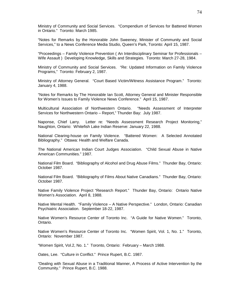Ministry of Community and Social Services. "Compendium of Services for Battered Women in Ontario." Toronto: March 1985.

"Notes for Remarks by the Honorable John Sweeney, Minister of Community and Social Services," to a News Conference Media Studio, Queen's Park, Toronto: April 15, 1987.

"Proceedings – Family Violence Prevention ( An Interdisciplinary Seminar for Professionals – Wife Assault ) Developing Knowledge, Skills and Strategies. Toronto: March 27-28, 1984.

Ministry of Community and Social Services. "Re: Updated Information on Family Violence Programs," Toronto: February 2, 1987.

Ministry of Attorney General. "Court Based Victim/Witness Assistance Program." Toronto: January 4, 1988.

"Notes for Remarks by The Honorable Ian Scott, Attorney General and Minister Responsible for Women's Issues to Family Violence News Conference." April 15, 1987.

Multicultural Association of Northwestern Ontario. "Needs Assessment of Interpreter Services for Northwestern Ontario – Report," Thunder Bay: July 1987.

Naponse, Chief Larry. Letter re: "Needs Assessment Research Project Monitoring," Naughton, Ontario: Whitefish Lake Indian Reserve: January 22, 1988.

National Clearing-house on Family Violence. "Battered Women: A Selected Annotated Bibliography." Ottawa: Health and Welfare Canada.

The National American Indian Court Judges Association. "Child Sexual Abuse in Native American Communities." 1987.

National Film Board. "Bibliography of Alcohol and Drug Abuse Films." Thunder Bay, Ontario: October 1987.

National Film Board. "Bibliography of Films About Native Canadians." Thunder Bay, Ontario: October 1987.

Native Family Violence Project "Research Report." Thunder Bay, Ontario: Ontario Native Women's Association. April 8, 1988.

Native Mental Health. "Family Violence – A Native Perspective." London, Ontario: Canadian Psychiatric Association. September 18-22, 1987.

Native Women's Resource Center of Toronto Inc. "A Guide for Native Women." Toronto, Ontario.

Native Women's Resource Center of Toronto Inc. "Women Spirit, Vol. 1, No. 1." Toronto, Ontario: November 1987.

"Women Spirit, Vol.2, No. 1." Toronto, Ontario: February – March 1988.

Oates, Lee. "Culture in Conflict." Prince Rupert, B.C. 1987.

"Dealing with Sexual Abuse in a Traditional Manner, A Process of Active Intervention by the Community." Prince Rupert, B.C. 1988.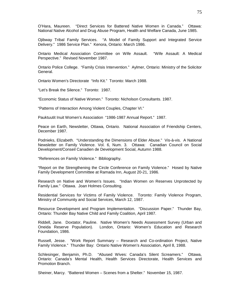O'Hara, Maureen. "Direct Services for Battered Native Women in Canada." Ottawa: National Native Alcohol and Drug Abuse Program, Health and Welfare Canada, June 1985.

Ojibway Tribal Family Services. "A Model of Family Support and Integrated Service Delivery." 1986 Service Plan." Kenora, Ontario: March 1986.

Ontario Medical Association Committee on Wife Assault. "Wife Assault: A Medical Perspective." Revised November 1987.

Ontario Police College. "Family Crisis Intervention." Aylmer, Ontario: Ministry of the Solicitor General.

Ontario Women's Directorate "Info Kit." Toronto: March 1988.

"Let's Break the Silence." Toronto: 1987.

"Economic Status of Native Women." Toronto: Nicholson Consultants. 1987.

"Patterns of Interaction Among Violent Couples, Chapter VI."

Pauktuutit Inuit Women's Association "1986-1987 Annual Report." 1987.

Peace on Earth, Newsletter, Ottawa, Ontario. National Association of Friendship Centers, December 1987.

Podnieks, Elizabeth. "Understanding the Dimensions of Elder Abuse." Vis-à-vis. A National Newsletter on Family Violence. Vol. 6, Num. 3. Ottawa: Canadian Council on Social Development/Conseil Canadien de Development Social, Autumn 1988.

"References on Family Violence." Bibliography.

"Report on the Strengthening the Circle Conference on Family Violence." Hosed by Native Family Development Committee at Ramada Inn, August 20-21, 1986.

Research on Native and Women's Issues. "Indian Women on Reserves Unprotected by Family Law." Ottawa. Joan Holmes Consulting.

Residential Services for Victims of Family Violence. Toronto: Family Violence Program, Ministry of Community and Social Services, March 12, 1987.

Resource Development and Program Implementation. "Discussion Paper." Thunder Bay, Ontario: Thunder Bay Native Child and Family Coalition, April 1987.

Riddell, Jane. Doxtator, Pauline. Native Women's Needs Assessment Survey (Urban and Oneida Reserve Population). London, Ontario: Women's Education and Research Foundation, 1986.

Russell, Jesse. "Work Report Summary – Research and Co-ordination Project, Native Family Violence." Thunder Bay: Ontario Native Women's Association, April 8, 1988.

Schlesinger, Benjamin, Ph.D. "Abused Wives: Canada's Silent Screamers." Ottawa, Ontario: Canada's Mental Health, Health Services Directorate, Health Services and Promotion Branch.

Sheiner, Marcy. "Battered Women – Scenes from a Shelter." November 15, 1987.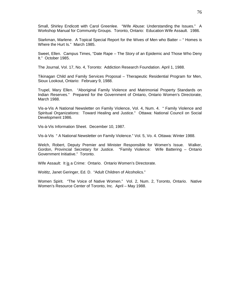Small, Shirley Endicott with Carol Greenlee. "Wife Abuse: Understanding the Issues." A Workshop Manual for Community Groups. Toronto, Ontario: Education Wife Assault. 1986.

Starkman, Marlene. A Topical Special Report for the Wives of Men who Batter – " Homes is Where the Hurt Is." March 1985.

Sweet, Ellen. Campus Times, "Date Rape – The Story of an Epidemic and Those Who Deny It." October 1985.

The Journal, Vol. 17, No. 4, Toronto: Addiction Research Foundation. April 1, 1988.

Tikinagan Child and Family Services Proposal – Therapeutic Residential Program for Men, Sioux Lookout, Ontario: February 9, 1988.

Trupel, Mary Ellen. "Aboriginal Family Violence and Matrimonial Property Standards on Indian Reserves." Prepared for the Government of Ontario, Ontario Women's Directorate, March 1988.

Vis-a-Vis A National Newsletter on Family Violence, Vol. 4, Num. 4. " Family Violence and Spiritual Organizations: Toward Healing and Justice." Ottawa: National Council on Social Development 1986.

Vis-à-Vis Information Sheet. December 10, 1987.

Vis-à-Vis " A National Newsletter on Family Violence." Vol. 5, Vo. 4. Ottawa: Winter 1988.

Welch, Robert, Deputy Premier and Minister Responsible for Women's Issue. Walker, Gordon, Provincial Secretary for Justice. "Family Violence: Wife Battering – Ontario Government Initiative." Toronto.

Wife Assault: It is a Crime: Ontario. Ontario Women's Directorate.

Woititz, Janet Geringer, Ed. D. "Adult Children of Alcoholics."

Women Spirit. "The Voice of Native Women." Vol. 2, Num. 2, Toronto, Ontario. Native Women's Resource Center of Toronto, Inc. April – May 1988.